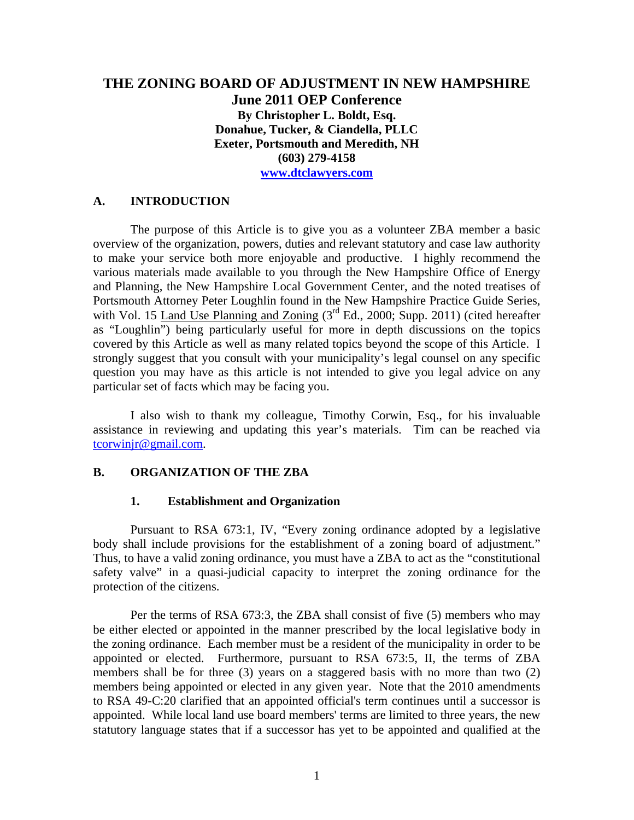# **THE ZONING BOARD OF ADJUSTMENT IN NEW HAMPSHIRE June 2011 OEP Conference By Christopher L. Boldt, Esq. Donahue, Tucker, & Ciandella, PLLC Exeter, Portsmouth and Meredith, NH (603) 279-4158 www.dtclawyers.com**

### **A. INTRODUCTION**

The purpose of this Article is to give you as a volunteer ZBA member a basic overview of the organization, powers, duties and relevant statutory and case law authority to make your service both more enjoyable and productive. I highly recommend the various materials made available to you through the New Hampshire Office of Energy and Planning, the New Hampshire Local Government Center, and the noted treatises of Portsmouth Attorney Peter Loughlin found in the New Hampshire Practice Guide Series, with Vol. 15 Land Use Planning and Zoning (3<sup>rd</sup> Ed., 2000; Supp. 2011) (cited hereafter as "Loughlin") being particularly useful for more in depth discussions on the topics covered by this Article as well as many related topics beyond the scope of this Article. I strongly suggest that you consult with your municipality's legal counsel on any specific question you may have as this article is not intended to give you legal advice on any particular set of facts which may be facing you.

 I also wish to thank my colleague, Timothy Corwin, Esq., for his invaluable assistance in reviewing and updating this year's materials. Tim can be reached via tcorwinjr@gmail.com.

### **B. ORGANIZATION OF THE ZBA**

### **1. Establishment and Organization**

Pursuant to RSA 673:1, IV, "Every zoning ordinance adopted by a legislative body shall include provisions for the establishment of a zoning board of adjustment." Thus, to have a valid zoning ordinance, you must have a ZBA to act as the "constitutional safety valve" in a quasi-judicial capacity to interpret the zoning ordinance for the protection of the citizens.

Per the terms of RSA 673:3, the ZBA shall consist of five (5) members who may be either elected or appointed in the manner prescribed by the local legislative body in the zoning ordinance. Each member must be a resident of the municipality in order to be appointed or elected. Furthermore, pursuant to RSA 673:5, II, the terms of ZBA members shall be for three (3) years on a staggered basis with no more than two (2) members being appointed or elected in any given year. Note that the 2010 amendments to RSA 49-C:20 clarified that an appointed official's term continues until a successor is appointed. While local land use board members' terms are limited to three years, the new statutory language states that if a successor has yet to be appointed and qualified at the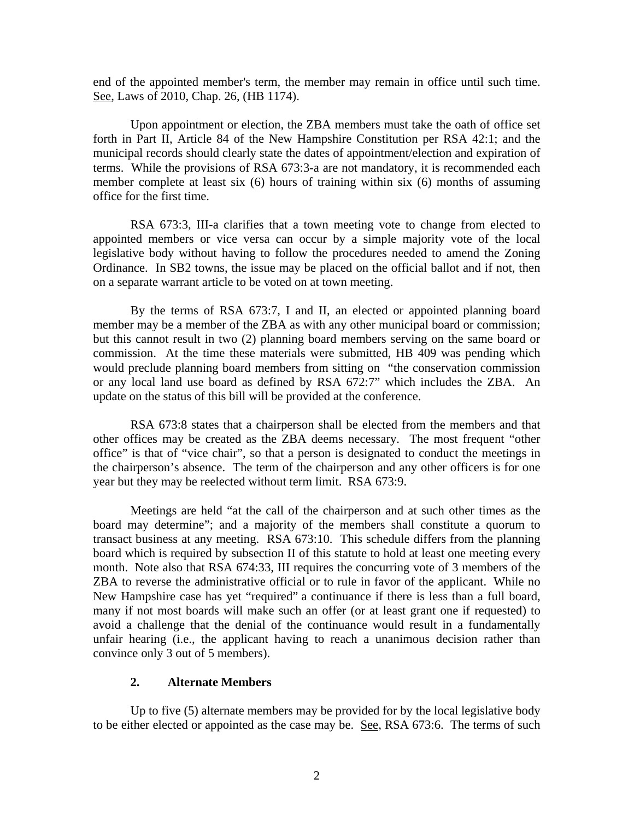end of the appointed member's term, the member may remain in office until such time. See, Laws of 2010, Chap. 26, (HB 1174).

Upon appointment or election, the ZBA members must take the oath of office set forth in Part II, Article 84 of the New Hampshire Constitution per RSA 42:1; and the municipal records should clearly state the dates of appointment/election and expiration of terms. While the provisions of RSA 673:3-a are not mandatory, it is recommended each member complete at least six (6) hours of training within six (6) months of assuming office for the first time.

RSA 673:3, III-a clarifies that a town meeting vote to change from elected to appointed members or vice versa can occur by a simple majority vote of the local legislative body without having to follow the procedures needed to amend the Zoning Ordinance. In SB2 towns, the issue may be placed on the official ballot and if not, then on a separate warrant article to be voted on at town meeting.

By the terms of RSA 673:7, I and II, an elected or appointed planning board member may be a member of the ZBA as with any other municipal board or commission; but this cannot result in two (2) planning board members serving on the same board or commission. At the time these materials were submitted, HB 409 was pending which would preclude planning board members from sitting on "the conservation commission or any local land use board as defined by RSA 672:7" which includes the ZBA. An update on the status of this bill will be provided at the conference.

RSA 673:8 states that a chairperson shall be elected from the members and that other offices may be created as the ZBA deems necessary. The most frequent "other office" is that of "vice chair", so that a person is designated to conduct the meetings in the chairperson's absence. The term of the chairperson and any other officers is for one year but they may be reelected without term limit. RSA 673:9.

Meetings are held "at the call of the chairperson and at such other times as the board may determine"; and a majority of the members shall constitute a quorum to transact business at any meeting. RSA 673:10. This schedule differs from the planning board which is required by subsection II of this statute to hold at least one meeting every month. Note also that RSA 674:33, III requires the concurring vote of 3 members of the ZBA to reverse the administrative official or to rule in favor of the applicant. While no New Hampshire case has yet "required" a continuance if there is less than a full board, many if not most boards will make such an offer (or at least grant one if requested) to avoid a challenge that the denial of the continuance would result in a fundamentally unfair hearing (i.e., the applicant having to reach a unanimous decision rather than convince only 3 out of 5 members).

### **2. Alternate Members**

Up to five (5) alternate members may be provided for by the local legislative body to be either elected or appointed as the case may be. See, RSA 673:6. The terms of such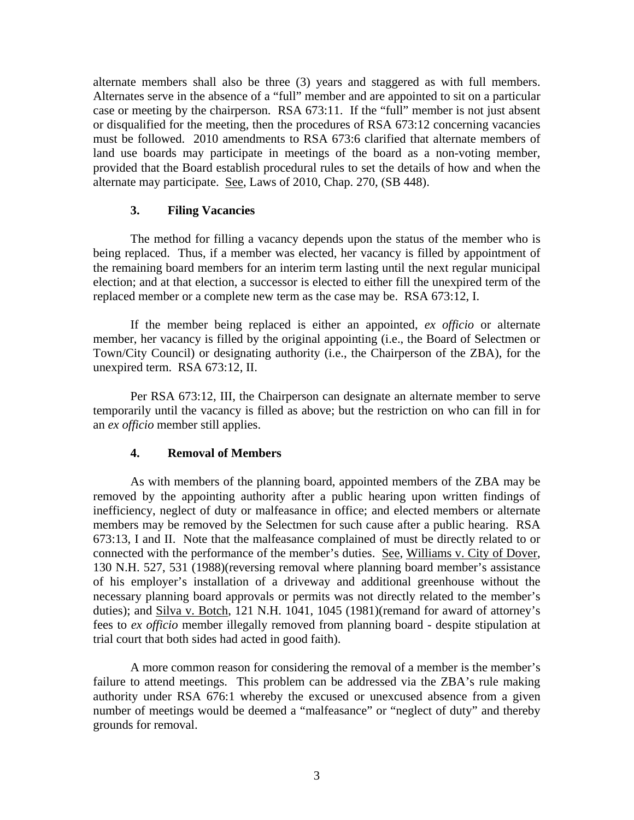alternate members shall also be three (3) years and staggered as with full members. Alternates serve in the absence of a "full" member and are appointed to sit on a particular case or meeting by the chairperson. RSA 673:11. If the "full" member is not just absent or disqualified for the meeting, then the procedures of RSA 673:12 concerning vacancies must be followed. 2010 amendments to RSA 673:6 clarified that alternate members of land use boards may participate in meetings of the board as a non-voting member, provided that the Board establish procedural rules to set the details of how and when the alternate may participate. See, Laws of 2010, Chap. 270, (SB 448).

### **3. Filing Vacancies**

The method for filling a vacancy depends upon the status of the member who is being replaced. Thus, if a member was elected, her vacancy is filled by appointment of the remaining board members for an interim term lasting until the next regular municipal election; and at that election, a successor is elected to either fill the unexpired term of the replaced member or a complete new term as the case may be. RSA 673:12, I.

If the member being replaced is either an appointed, *ex officio* or alternate member, her vacancy is filled by the original appointing (i.e., the Board of Selectmen or Town/City Council) or designating authority (i.e., the Chairperson of the ZBA), for the unexpired term. RSA 673:12, II.

Per RSA 673:12, III, the Chairperson can designate an alternate member to serve temporarily until the vacancy is filled as above; but the restriction on who can fill in for an *ex officio* member still applies.

## **4. Removal of Members**

As with members of the planning board, appointed members of the ZBA may be removed by the appointing authority after a public hearing upon written findings of inefficiency, neglect of duty or malfeasance in office; and elected members or alternate members may be removed by the Selectmen for such cause after a public hearing. RSA 673:13, I and II. Note that the malfeasance complained of must be directly related to or connected with the performance of the member's duties. See, Williams v. City of Dover, 130 N.H. 527, 531 (1988)(reversing removal where planning board member's assistance of his employer's installation of a driveway and additional greenhouse without the necessary planning board approvals or permits was not directly related to the member's duties); and Silva v. Botch, 121 N.H. 1041, 1045 (1981)(remand for award of attorney's fees to *ex officio* member illegally removed from planning board - despite stipulation at trial court that both sides had acted in good faith).

A more common reason for considering the removal of a member is the member's failure to attend meetings. This problem can be addressed via the ZBA's rule making authority under RSA 676:1 whereby the excused or unexcused absence from a given number of meetings would be deemed a "malfeasance" or "neglect of duty" and thereby grounds for removal.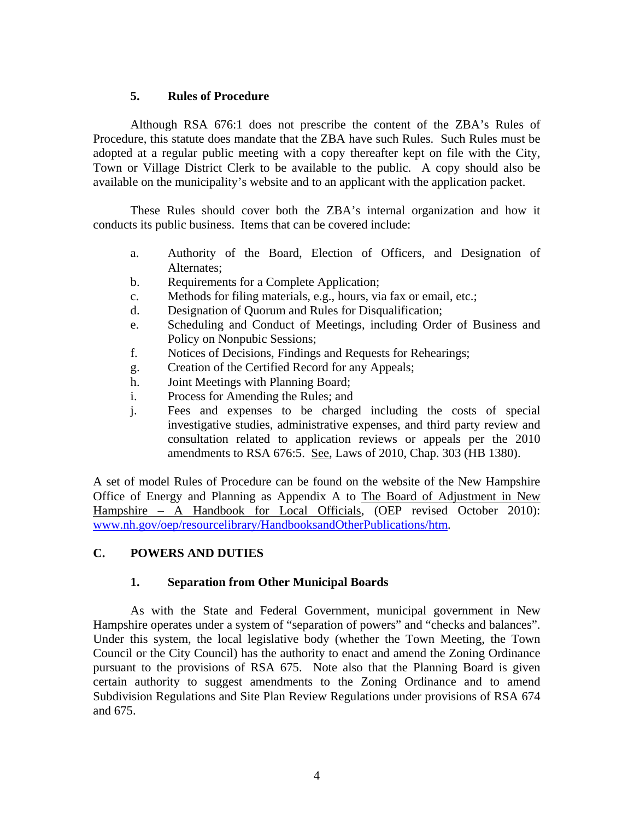## **5. Rules of Procedure**

Although RSA 676:1 does not prescribe the content of the ZBA's Rules of Procedure, this statute does mandate that the ZBA have such Rules. Such Rules must be adopted at a regular public meeting with a copy thereafter kept on file with the City, Town or Village District Clerk to be available to the public. A copy should also be available on the municipality's website and to an applicant with the application packet.

These Rules should cover both the ZBA's internal organization and how it conducts its public business. Items that can be covered include:

- a. Authority of the Board, Election of Officers, and Designation of Alternates;
- b. Requirements for a Complete Application;
- c. Methods for filing materials, e.g., hours, via fax or email, etc.;
- d. Designation of Quorum and Rules for Disqualification;
- e. Scheduling and Conduct of Meetings, including Order of Business and Policy on Nonpubic Sessions;
- f. Notices of Decisions, Findings and Requests for Rehearings;
- g. Creation of the Certified Record for any Appeals;
- h. Joint Meetings with Planning Board;
- i. Process for Amending the Rules; and
- j. Fees and expenses to be charged including the costs of special investigative studies, administrative expenses, and third party review and consultation related to application reviews or appeals per the 2010 amendments to RSA 676:5. See, Laws of 2010, Chap. 303 (HB 1380).

A set of model Rules of Procedure can be found on the website of the New Hampshire Office of Energy and Planning as Appendix A to The Board of Adjustment in New Hampshire – A Handbook for Local Officials, (OEP revised October 2010): www.nh.gov/oep/resourcelibrary/HandbooksandOtherPublications/htm.

# **C. POWERS AND DUTIES**

## **1. Separation from Other Municipal Boards**

As with the State and Federal Government, municipal government in New Hampshire operates under a system of "separation of powers" and "checks and balances". Under this system, the local legislative body (whether the Town Meeting, the Town Council or the City Council) has the authority to enact and amend the Zoning Ordinance pursuant to the provisions of RSA 675. Note also that the Planning Board is given certain authority to suggest amendments to the Zoning Ordinance and to amend Subdivision Regulations and Site Plan Review Regulations under provisions of RSA 674 and 675.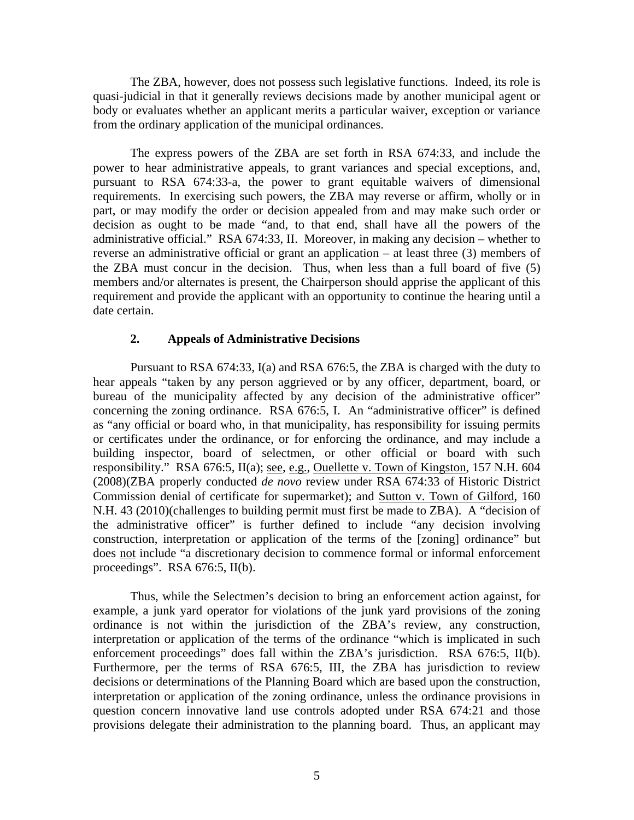The ZBA, however, does not possess such legislative functions. Indeed, its role is quasi-judicial in that it generally reviews decisions made by another municipal agent or body or evaluates whether an applicant merits a particular waiver, exception or variance from the ordinary application of the municipal ordinances.

The express powers of the ZBA are set forth in RSA 674:33, and include the power to hear administrative appeals, to grant variances and special exceptions, and, pursuant to RSA 674:33-a, the power to grant equitable waivers of dimensional requirements. In exercising such powers, the ZBA may reverse or affirm, wholly or in part, or may modify the order or decision appealed from and may make such order or decision as ought to be made "and, to that end, shall have all the powers of the administrative official." RSA 674:33, II. Moreover, in making any decision – whether to reverse an administrative official or grant an application – at least three (3) members of the ZBA must concur in the decision. Thus, when less than a full board of five (5) members and/or alternates is present, the Chairperson should apprise the applicant of this requirement and provide the applicant with an opportunity to continue the hearing until a date certain.

### **2. Appeals of Administrative Decisions**

Pursuant to RSA 674:33, I(a) and RSA 676:5, the ZBA is charged with the duty to hear appeals "taken by any person aggrieved or by any officer, department, board, or bureau of the municipality affected by any decision of the administrative officer" concerning the zoning ordinance. RSA 676:5, I. An "administrative officer" is defined as "any official or board who, in that municipality, has responsibility for issuing permits or certificates under the ordinance, or for enforcing the ordinance, and may include a building inspector, board of selectmen, or other official or board with such responsibility." RSA 676:5, II(a); see, e.g., Ouellette v. Town of Kingston, 157 N.H. 604 (2008)(ZBA properly conducted *de novo* review under RSA 674:33 of Historic District Commission denial of certificate for supermarket); and Sutton v. Town of Gilford, 160 N.H. 43 (2010)(challenges to building permit must first be made to ZBA). A "decision of the administrative officer" is further defined to include "any decision involving construction, interpretation or application of the terms of the [zoning] ordinance" but does not include "a discretionary decision to commence formal or informal enforcement proceedings". RSA 676:5, II(b).

Thus, while the Selectmen's decision to bring an enforcement action against, for example, a junk yard operator for violations of the junk yard provisions of the zoning ordinance is not within the jurisdiction of the ZBA's review, any construction, interpretation or application of the terms of the ordinance "which is implicated in such enforcement proceedings" does fall within the ZBA's jurisdiction. RSA 676:5, II(b). Furthermore, per the terms of RSA 676:5, III, the ZBA has jurisdiction to review decisions or determinations of the Planning Board which are based upon the construction, interpretation or application of the zoning ordinance, unless the ordinance provisions in question concern innovative land use controls adopted under RSA 674:21 and those provisions delegate their administration to the planning board. Thus, an applicant may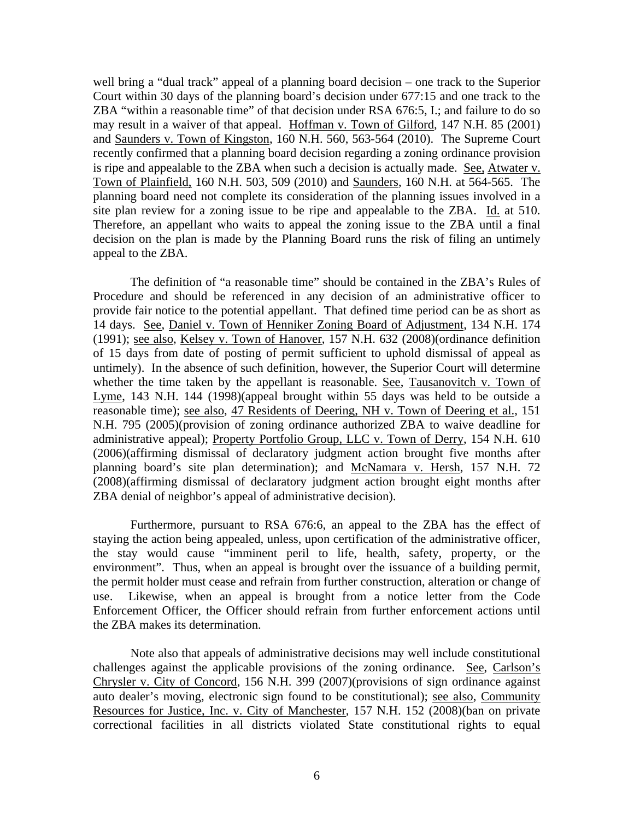well bring a "dual track" appeal of a planning board decision – one track to the Superior Court within 30 days of the planning board's decision under 677:15 and one track to the ZBA "within a reasonable time" of that decision under RSA 676:5, I.; and failure to do so may result in a waiver of that appeal. Hoffman v. Town of Gilford, 147 N.H. 85 (2001) and Saunders v. Town of Kingston, 160 N.H. 560, 563-564 (2010). The Supreme Court recently confirmed that a planning board decision regarding a zoning ordinance provision is ripe and appealable to the ZBA when such a decision is actually made. See, Atwater v. Town of Plainfield, 160 N.H. 503, 509 (2010) and Saunders, 160 N.H. at 564-565. The planning board need not complete its consideration of the planning issues involved in a site plan review for a zoning issue to be ripe and appealable to the ZBA. Id. at 510. Therefore, an appellant who waits to appeal the zoning issue to the ZBA until a final decision on the plan is made by the Planning Board runs the risk of filing an untimely appeal to the ZBA.

The definition of "a reasonable time" should be contained in the ZBA's Rules of Procedure and should be referenced in any decision of an administrative officer to provide fair notice to the potential appellant. That defined time period can be as short as 14 days. See, Daniel v. Town of Henniker Zoning Board of Adjustment, 134 N.H. 174 (1991); see also, Kelsey v. Town of Hanover, 157 N.H. 632 (2008)(ordinance definition of 15 days from date of posting of permit sufficient to uphold dismissal of appeal as untimely). In the absence of such definition, however, the Superior Court will determine whether the time taken by the appellant is reasonable. See, Tausanovitch v. Town of Lyme, 143 N.H. 144 (1998)(appeal brought within 55 days was held to be outside a reasonable time); see also, 47 Residents of Deering, NH v. Town of Deering et al., 151 N.H. 795 (2005)(provision of zoning ordinance authorized ZBA to waive deadline for administrative appeal); Property Portfolio Group, LLC v. Town of Derry, 154 N.H. 610 (2006)(affirming dismissal of declaratory judgment action brought five months after planning board's site plan determination); and McNamara v. Hersh, 157 N.H. 72 (2008)(affirming dismissal of declaratory judgment action brought eight months after ZBA denial of neighbor's appeal of administrative decision).

Furthermore, pursuant to RSA 676:6, an appeal to the ZBA has the effect of staying the action being appealed, unless, upon certification of the administrative officer, the stay would cause "imminent peril to life, health, safety, property, or the environment". Thus, when an appeal is brought over the issuance of a building permit, the permit holder must cease and refrain from further construction, alteration or change of use. Likewise, when an appeal is brought from a notice letter from the Code Enforcement Officer, the Officer should refrain from further enforcement actions until the ZBA makes its determination.

Note also that appeals of administrative decisions may well include constitutional challenges against the applicable provisions of the zoning ordinance. See, Carlson's Chrysler v. City of Concord, 156 N.H. 399 (2007)(provisions of sign ordinance against auto dealer's moving, electronic sign found to be constitutional); see also, Community Resources for Justice, Inc. v. City of Manchester, 157 N.H. 152 (2008)(ban on private correctional facilities in all districts violated State constitutional rights to equal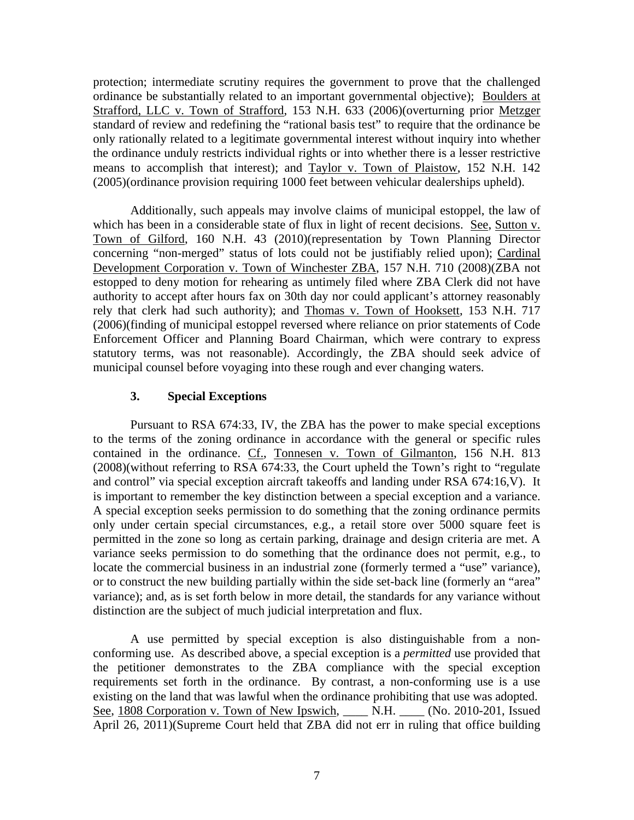protection; intermediate scrutiny requires the government to prove that the challenged ordinance be substantially related to an important governmental objective); Boulders at Strafford, LLC v. Town of Strafford, 153 N.H. 633 (2006)(overturning prior Metzger standard of review and redefining the "rational basis test" to require that the ordinance be only rationally related to a legitimate governmental interest without inquiry into whether the ordinance unduly restricts individual rights or into whether there is a lesser restrictive means to accomplish that interest); and Taylor v. Town of Plaistow, 152 N.H. 142 (2005)(ordinance provision requiring 1000 feet between vehicular dealerships upheld).

Additionally, such appeals may involve claims of municipal estoppel, the law of which has been in a considerable state of flux in light of recent decisions. See, Sutton v. Town of Gilford, 160 N.H. 43 (2010)(representation by Town Planning Director concerning "non-merged" status of lots could not be justifiably relied upon); Cardinal Development Corporation v. Town of Winchester ZBA, 157 N.H. 710 (2008)(ZBA not estopped to deny motion for rehearing as untimely filed where ZBA Clerk did not have authority to accept after hours fax on 30th day nor could applicant's attorney reasonably rely that clerk had such authority); and Thomas v. Town of Hooksett, 153 N.H. 717 (2006)(finding of municipal estoppel reversed where reliance on prior statements of Code Enforcement Officer and Planning Board Chairman, which were contrary to express statutory terms, was not reasonable). Accordingly, the ZBA should seek advice of municipal counsel before voyaging into these rough and ever changing waters.

## **3. Special Exceptions**

Pursuant to RSA 674:33, IV, the ZBA has the power to make special exceptions to the terms of the zoning ordinance in accordance with the general or specific rules contained in the ordinance. Cf., Tonnesen v. Town of Gilmanton, 156 N.H. 813 (2008)(without referring to RSA 674:33, the Court upheld the Town's right to "regulate and control" via special exception aircraft takeoffs and landing under RSA 674:16,V). It is important to remember the key distinction between a special exception and a variance. A special exception seeks permission to do something that the zoning ordinance permits only under certain special circumstances, e.g., a retail store over 5000 square feet is permitted in the zone so long as certain parking, drainage and design criteria are met. A variance seeks permission to do something that the ordinance does not permit, e.g., to locate the commercial business in an industrial zone (formerly termed a "use" variance), or to construct the new building partially within the side set-back line (formerly an "area" variance); and, as is set forth below in more detail, the standards for any variance without distinction are the subject of much judicial interpretation and flux.

A use permitted by special exception is also distinguishable from a nonconforming use. As described above, a special exception is a *permitted* use provided that the petitioner demonstrates to the ZBA compliance with the special exception requirements set forth in the ordinance. By contrast, a non-conforming use is a use existing on the land that was lawful when the ordinance prohibiting that use was adopted. See, 1808 Corporation v. Town of New Ipswich, \_\_\_\_ N.H. \_\_\_\_ (No. 2010-201, Issued April 26, 2011)(Supreme Court held that ZBA did not err in ruling that office building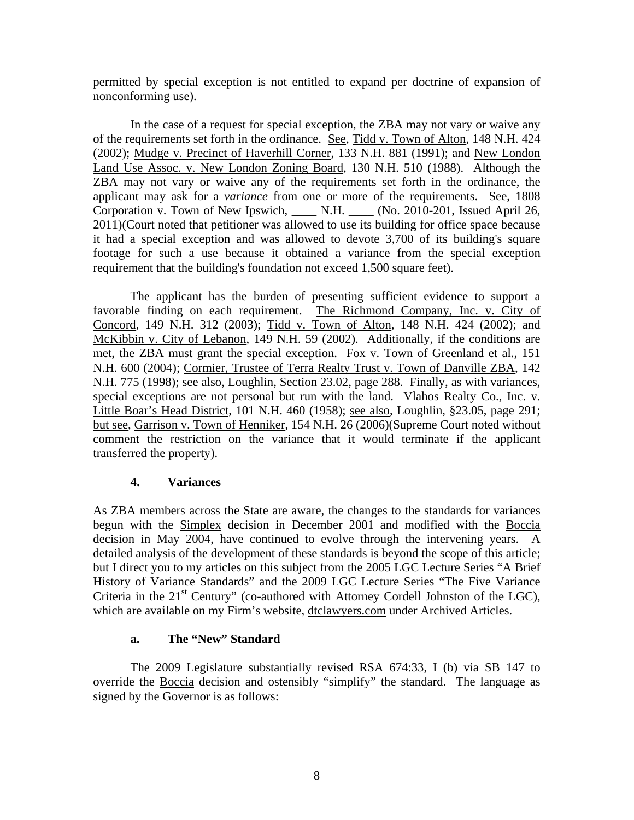permitted by special exception is not entitled to expand per doctrine of expansion of nonconforming use).

In the case of a request for special exception, the ZBA may not vary or waive any of the requirements set forth in the ordinance. See, Tidd v. Town of Alton, 148 N.H. 424 (2002); Mudge v. Precinct of Haverhill Corner, 133 N.H. 881 (1991); and New London Land Use Assoc. v. New London Zoning Board, 130 N.H. 510 (1988). Although the ZBA may not vary or waive any of the requirements set forth in the ordinance, the applicant may ask for a *variance* from one or more of the requirements. See, 1808 Corporation v. Town of New Ipswich, \_\_\_\_ N.H. \_\_\_\_ (No. 2010-201, Issued April 26, 2011)(Court noted that petitioner was allowed to use its building for office space because it had a special exception and was allowed to devote 3,700 of its building's square footage for such a use because it obtained a variance from the special exception requirement that the building's foundation not exceed 1,500 square feet).

The applicant has the burden of presenting sufficient evidence to support a favorable finding on each requirement. The Richmond Company, Inc. v. City of Concord, 149 N.H. 312 (2003); Tidd v. Town of Alton, 148 N.H. 424 (2002); and McKibbin v. City of Lebanon, 149 N.H. 59 (2002). Additionally, if the conditions are met, the ZBA must grant the special exception. Fox v. Town of Greenland et al., 151 N.H. 600 (2004); Cormier, Trustee of Terra Realty Trust v. Town of Danville ZBA, 142 N.H. 775 (1998); see also, Loughlin, Section 23.02, page 288. Finally, as with variances, special exceptions are not personal but run with the land. Vlahos Realty Co., Inc. v. Little Boar's Head District, 101 N.H. 460 (1958); see also, Loughlin, §23.05, page 291; but see, Garrison v. Town of Henniker, 154 N.H. 26 (2006)(Supreme Court noted without comment the restriction on the variance that it would terminate if the applicant transferred the property).

## **4. Variances**

As ZBA members across the State are aware, the changes to the standards for variances begun with the Simplex decision in December 2001 and modified with the Boccia decision in May 2004, have continued to evolve through the intervening years. A detailed analysis of the development of these standards is beyond the scope of this article; but I direct you to my articles on this subject from the 2005 LGC Lecture Series "A Brief History of Variance Standards" and the 2009 LGC Lecture Series "The Five Variance Criteria in the  $21<sup>st</sup>$  Century" (co-authored with Attorney Cordell Johnston of the LGC), which are available on my Firm's website, dtclawyers.com under Archived Articles.

## **a. The "New" Standard**

The 2009 Legislature substantially revised RSA 674:33, I (b) via SB 147 to override the Boccia decision and ostensibly "simplify" the standard. The language as signed by the Governor is as follows: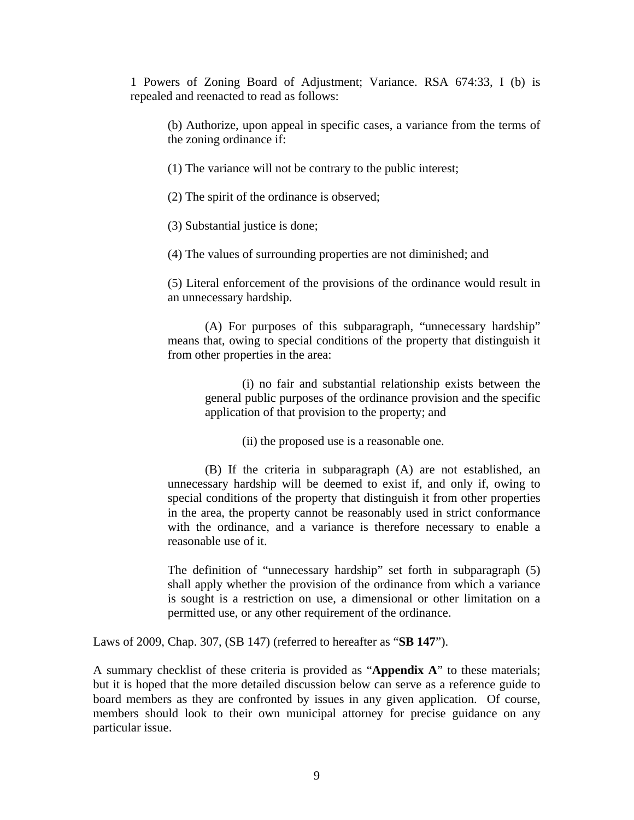1 Powers of Zoning Board of Adjustment; Variance. RSA 674:33, I (b) is repealed and reenacted to read as follows:

(b) Authorize, upon appeal in specific cases, a variance from the terms of the zoning ordinance if:

(1) The variance will not be contrary to the public interest;

(2) The spirit of the ordinance is observed;

(3) Substantial justice is done;

(4) The values of surrounding properties are not diminished; and

(5) Literal enforcement of the provisions of the ordinance would result in an unnecessary hardship.

(A) For purposes of this subparagraph, "unnecessary hardship" means that, owing to special conditions of the property that distinguish it from other properties in the area:

(i) no fair and substantial relationship exists between the general public purposes of the ordinance provision and the specific application of that provision to the property; and

(ii) the proposed use is a reasonable one.

(B) If the criteria in subparagraph (A) are not established, an unnecessary hardship will be deemed to exist if, and only if, owing to special conditions of the property that distinguish it from other properties in the area, the property cannot be reasonably used in strict conformance with the ordinance, and a variance is therefore necessary to enable a reasonable use of it.

The definition of "unnecessary hardship" set forth in subparagraph (5) shall apply whether the provision of the ordinance from which a variance is sought is a restriction on use, a dimensional or other limitation on a permitted use, or any other requirement of the ordinance.

Laws of 2009, Chap. 307, (SB 147) (referred to hereafter as "**SB 147**").

A summary checklist of these criteria is provided as "**Appendix A**" to these materials; but it is hoped that the more detailed discussion below can serve as a reference guide to board members as they are confronted by issues in any given application. Of course, members should look to their own municipal attorney for precise guidance on any particular issue.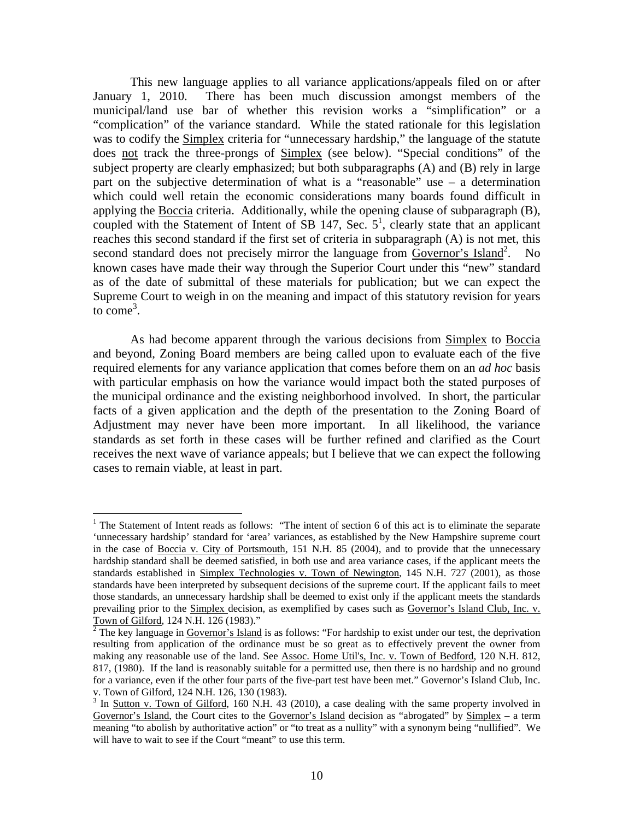This new language applies to all variance applications/appeals filed on or after January 1, 2010. There has been much discussion amongst members of the municipal/land use bar of whether this revision works a "simplification" or a "complication" of the variance standard. While the stated rationale for this legislation was to codify the Simplex criteria for "unnecessary hardship," the language of the statute does not track the three-prongs of Simplex (see below). "Special conditions" of the subject property are clearly emphasized; but both subparagraphs (A) and (B) rely in large part on the subjective determination of what is a "reasonable" use – a determination which could well retain the economic considerations many boards found difficult in applying the Boccia criteria. Additionally, while the opening clause of subparagraph (B), coupled with the Statement of Intent of SB 147, Sec.  $5<sup>1</sup>$ , clearly state that an applicant reaches this second standard if the first set of criteria in subparagraph (A) is not met, this second standard does not precisely mirror the language from Governor's Island<sup>2</sup>. No known cases have made their way through the Superior Court under this "new" standard as of the date of submittal of these materials for publication; but we can expect the Supreme Court to weigh in on the meaning and impact of this statutory revision for years to  $\text{come}^3$ .

As had become apparent through the various decisions from Simplex to Boccia and beyond, Zoning Board members are being called upon to evaluate each of the five required elements for any variance application that comes before them on an *ad hoc* basis with particular emphasis on how the variance would impact both the stated purposes of the municipal ordinance and the existing neighborhood involved. In short, the particular facts of a given application and the depth of the presentation to the Zoning Board of Adjustment may never have been more important. In all likelihood, the variance standards as set forth in these cases will be further refined and clarified as the Court receives the next wave of variance appeals; but I believe that we can expect the following cases to remain viable, at least in part.

 $\overline{a}$ 

<sup>&</sup>lt;sup>1</sup> The Statement of Intent reads as follows: "The intent of section 6 of this act is to eliminate the separate 'unnecessary hardship' standard for 'area' variances, as established by the New Hampshire supreme court in the case of Boccia v. City of Portsmouth, 151 N.H. 85 (2004), and to provide that the unnecessary hardship standard shall be deemed satisfied, in both use and area variance cases, if the applicant meets the standards established in Simplex Technologies v. Town of Newington*,* 145 N.H. 727 (2001), as those standards have been interpreted by subsequent decisions of the supreme court. If the applicant fails to meet those standards, an unnecessary hardship shall be deemed to exist only if the applicant meets the standards prevailing prior to the Simplex decision, as exemplified by cases such as Governor's Island Club, Inc. v. Town of Gilford*,* 124 N.H. 126 (1983)." 2

 $\frac{1}{2}$  The key language in Governor's Island is as follows: "For hardship to exist under our test, the deprivation resulting from application of the ordinance must be so great as to effectively prevent the owner from making any reasonable use of the land. See Assoc. Home Util's, Inc. v. Town of Bedford*,* 120 N.H. 812, 817, (1980). If the land is reasonably suitable for a permitted use, then there is no hardship and no ground for a variance, even if the other four parts of the five-part test have been met." Governor's Island Club, Inc. v. Town of Gilford*,* 124 N.H. 126, 130 (1983). 3

<sup>&</sup>lt;sup>3</sup> In Sutton v. Town of Gilford, 160 N.H. 43 (2010), a case dealing with the same property involved in Governor's Island, the Court cites to the Governor's Island decision as "abrogated" by Simplex - a term meaning "to abolish by authoritative action" or "to treat as a nullity" with a synonym being "nullified". We will have to wait to see if the Court "meant" to use this term.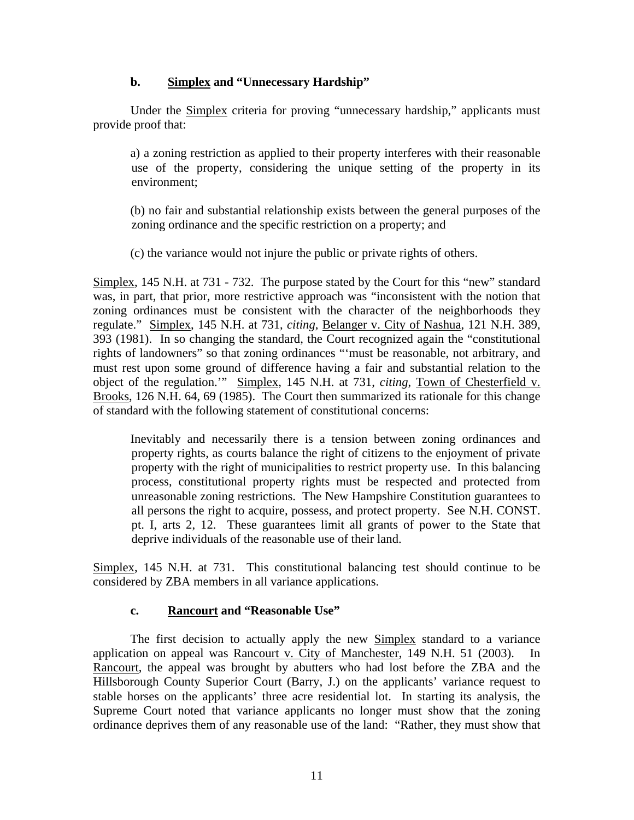# **b. Simplex and "Unnecessary Hardship"**

 Under the Simplex criteria for proving "unnecessary hardship," applicants must provide proof that:

a) a zoning restriction as applied to their property interferes with their reasonable use of the property, considering the unique setting of the property in its environment;

(b) no fair and substantial relationship exists between the general purposes of the zoning ordinance and the specific restriction on a property; and

(c) the variance would not injure the public or private rights of others.

Simplex, 145 N.H. at 731 - 732. The purpose stated by the Court for this "new" standard was, in part, that prior, more restrictive approach was "inconsistent with the notion that zoning ordinances must be consistent with the character of the neighborhoods they regulate." Simplex, 145 N.H. at 731, *citing*, Belanger v. City of Nashua, 121 N.H. 389, 393 (1981). In so changing the standard, the Court recognized again the "constitutional rights of landowners" so that zoning ordinances "'must be reasonable, not arbitrary, and must rest upon some ground of difference having a fair and substantial relation to the object of the regulation.'" Simplex, 145 N.H. at 731, *citing*, Town of Chesterfield v. Brooks, 126 N.H. 64, 69 (1985). The Court then summarized its rationale for this change of standard with the following statement of constitutional concerns:

Inevitably and necessarily there is a tension between zoning ordinances and property rights, as courts balance the right of citizens to the enjoyment of private property with the right of municipalities to restrict property use. In this balancing process, constitutional property rights must be respected and protected from unreasonable zoning restrictions. The New Hampshire Constitution guarantees to all persons the right to acquire, possess, and protect property. See N.H. CONST. pt. I, arts 2, 12. These guarantees limit all grants of power to the State that deprive individuals of the reasonable use of their land.

Simplex, 145 N.H. at 731. This constitutional balancing test should continue to be considered by ZBA members in all variance applications.

## **c. Rancourt and "Reasonable Use"**

The first decision to actually apply the new Simplex standard to a variance application on appeal was Rancourt v. City of Manchester, 149 N.H. 51 (2003). In Rancourt, the appeal was brought by abutters who had lost before the ZBA and the Hillsborough County Superior Court (Barry, J.) on the applicants' variance request to stable horses on the applicants' three acre residential lot. In starting its analysis, the Supreme Court noted that variance applicants no longer must show that the zoning ordinance deprives them of any reasonable use of the land: "Rather, they must show that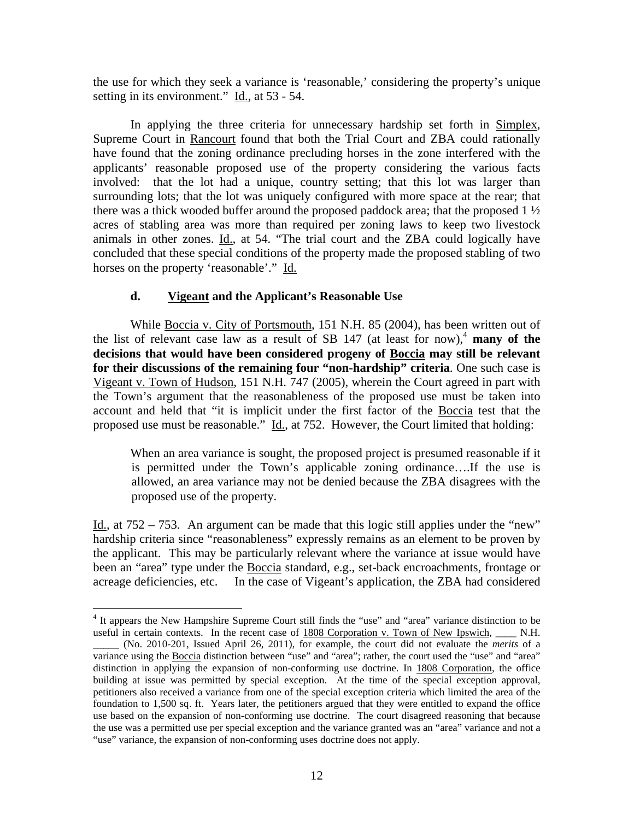the use for which they seek a variance is 'reasonable,' considering the property's unique setting in its environment." Id., at 53 - 54.

In applying the three criteria for unnecessary hardship set forth in Simplex, Supreme Court in Rancourt found that both the Trial Court and ZBA could rationally have found that the zoning ordinance precluding horses in the zone interfered with the applicants' reasonable proposed use of the property considering the various facts involved: that the lot had a unique, country setting; that this lot was larger than surrounding lots; that the lot was uniquely configured with more space at the rear; that there was a thick wooded buffer around the proposed paddock area; that the proposed 1 ½ acres of stabling area was more than required per zoning laws to keep two livestock animals in other zones. Id., at 54. "The trial court and the ZBA could logically have concluded that these special conditions of the property made the proposed stabling of two horses on the property 'reasonable'." Id.

## **d. Vigeant and the Applicant's Reasonable Use**

 While Boccia v. City of Portsmouth, 151 N.H. 85 (2004), has been written out of the list of relevant case law as a result of SB 147 (at least for now),<sup>4</sup> many of the **decisions that would have been considered progeny of Boccia may still be relevant for their discussions of the remaining four "non-hardship" criteria**. One such case is Vigeant v. Town of Hudson, 151 N.H. 747 (2005), wherein the Court agreed in part with the Town's argument that the reasonableness of the proposed use must be taken into account and held that "it is implicit under the first factor of the Boccia test that the proposed use must be reasonable." Id., at 752. However, the Court limited that holding:

When an area variance is sought, the proposed project is presumed reasonable if it is permitted under the Town's applicable zoning ordinance….If the use is allowed, an area variance may not be denied because the ZBA disagrees with the proposed use of the property.

Id., at 752 – 753. An argument can be made that this logic still applies under the "new" hardship criteria since "reasonableness" expressly remains as an element to be proven by the applicant. This may be particularly relevant where the variance at issue would have been an "area" type under the Boccia standard, e.g., set-back encroachments, frontage or acreage deficiencies, etc. In the case of Vigeant's application, the ZBA had considered

 $\overline{a}$ 

<sup>&</sup>lt;sup>4</sup> It appears the New Hampshire Supreme Court still finds the "use" and "area" variance distinction to be useful in certain contexts. In the recent case of 1808 Corporation v. Town of New Ipswich, \_\_\_\_ N.H.

\_\_\_\_\_ (No. 2010-201, Issued April 26, 2011), for example, the court did not evaluate the *merits* of a variance using the Boccia distinction between "use" and "area"; rather, the court used the "use" and "area" distinction in applying the expansion of non-conforming use doctrine. In 1808 Corporation, the office building at issue was permitted by special exception. At the time of the special exception approval, petitioners also received a variance from one of the special exception criteria which limited the area of the foundation to 1,500 sq. ft. Years later, the petitioners argued that they were entitled to expand the office use based on the expansion of non-conforming use doctrine. The court disagreed reasoning that because the use was a permitted use per special exception and the variance granted was an "area" variance and not a "use" variance, the expansion of non-conforming uses doctrine does not apply.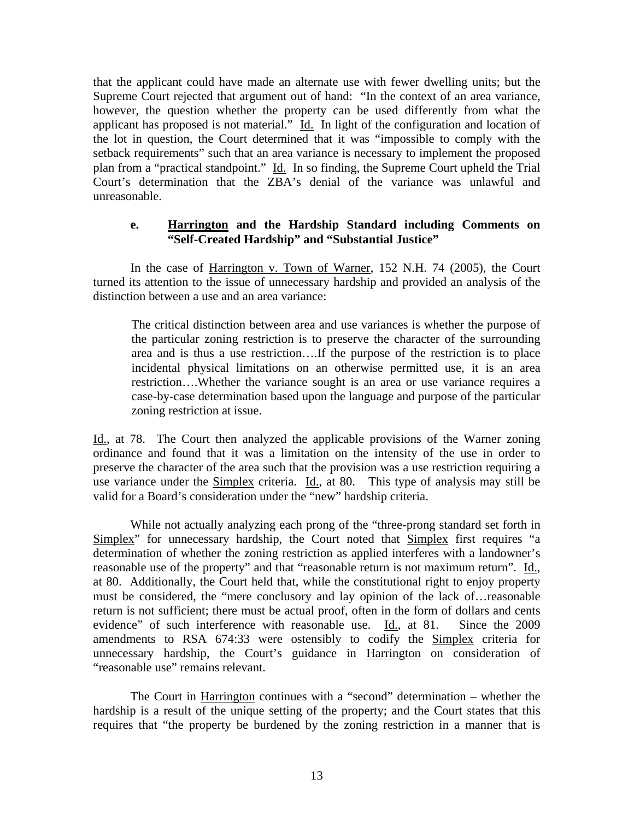that the applicant could have made an alternate use with fewer dwelling units; but the Supreme Court rejected that argument out of hand: "In the context of an area variance, however, the question whether the property can be used differently from what the applicant has proposed is not material." Id. In light of the configuration and location of the lot in question, the Court determined that it was "impossible to comply with the setback requirements" such that an area variance is necessary to implement the proposed plan from a "practical standpoint." Id. In so finding, the Supreme Court upheld the Trial Court's determination that the ZBA's denial of the variance was unlawful and unreasonable.

## **e. Harrington and the Hardship Standard including Comments on "Self-Created Hardship" and "Substantial Justice"**

 In the case of Harrington v. Town of Warner, 152 N.H. 74 (2005), the Court turned its attention to the issue of unnecessary hardship and provided an analysis of the distinction between a use and an area variance:

 The critical distinction between area and use variances is whether the purpose of the particular zoning restriction is to preserve the character of the surrounding area and is thus a use restriction….If the purpose of the restriction is to place incidental physical limitations on an otherwise permitted use, it is an area restriction….Whether the variance sought is an area or use variance requires a case-by-case determination based upon the language and purpose of the particular zoning restriction at issue.

Id., at 78. The Court then analyzed the applicable provisions of the Warner zoning ordinance and found that it was a limitation on the intensity of the use in order to preserve the character of the area such that the provision was a use restriction requiring a use variance under the Simplex criteria. Id., at 80. This type of analysis may still be valid for a Board's consideration under the "new" hardship criteria.

 While not actually analyzing each prong of the "three-prong standard set forth in Simplex" for unnecessary hardship, the Court noted that Simplex first requires "a determination of whether the zoning restriction as applied interferes with a landowner's reasonable use of the property" and that "reasonable return is not maximum return". Id., at 80. Additionally, the Court held that, while the constitutional right to enjoy property must be considered, the "mere conclusory and lay opinion of the lack of…reasonable return is not sufficient; there must be actual proof, often in the form of dollars and cents evidence" of such interference with reasonable use. Id., at 81. Since the 2009 amendments to RSA 674:33 were ostensibly to codify the Simplex criteria for unnecessary hardship, the Court's guidance in Harrington on consideration of "reasonable use" remains relevant.

 The Court in Harrington continues with a "second" determination – whether the hardship is a result of the unique setting of the property; and the Court states that this requires that "the property be burdened by the zoning restriction in a manner that is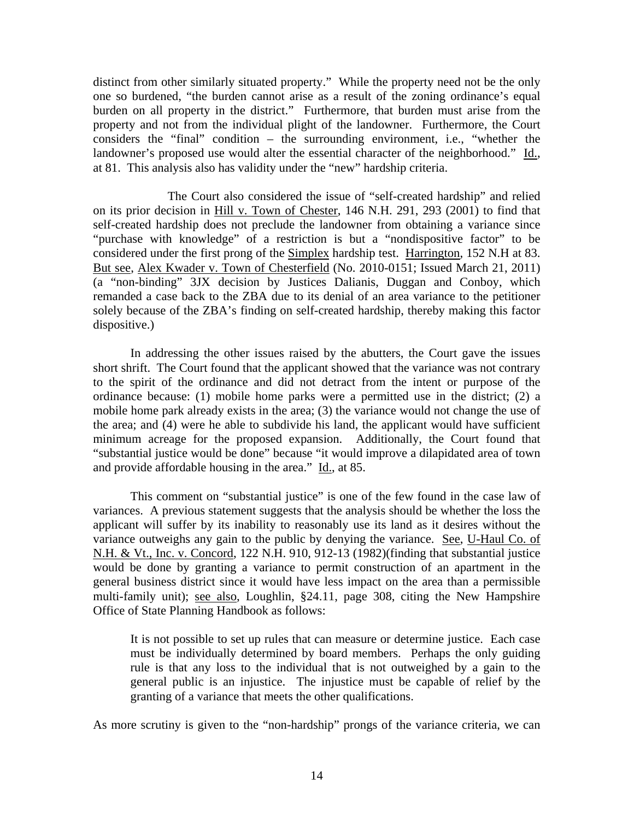distinct from other similarly situated property." While the property need not be the only one so burdened, "the burden cannot arise as a result of the zoning ordinance's equal burden on all property in the district." Furthermore, that burden must arise from the property and not from the individual plight of the landowner. Furthermore, the Court considers the "final" condition – the surrounding environment, i.e., "whether the landowner's proposed use would alter the essential character of the neighborhood." Id., at 81. This analysis also has validity under the "new" hardship criteria.

 The Court also considered the issue of "self-created hardship" and relied on its prior decision in Hill v. Town of Chester, 146 N.H. 291, 293 (2001) to find that self-created hardship does not preclude the landowner from obtaining a variance since "purchase with knowledge" of a restriction is but a "nondispositive factor" to be considered under the first prong of the Simplex hardship test. Harrington, 152 N.H at 83. But see, Alex Kwader v. Town of Chesterfield (No. 2010-0151; Issued March 21, 2011) (a "non-binding" 3JX decision by Justices Dalianis, Duggan and Conboy, which remanded a case back to the ZBA due to its denial of an area variance to the petitioner solely because of the ZBA's finding on self-created hardship, thereby making this factor dispositive.)

In addressing the other issues raised by the abutters, the Court gave the issues short shrift. The Court found that the applicant showed that the variance was not contrary to the spirit of the ordinance and did not detract from the intent or purpose of the ordinance because: (1) mobile home parks were a permitted use in the district; (2) a mobile home park already exists in the area; (3) the variance would not change the use of the area; and (4) were he able to subdivide his land, the applicant would have sufficient minimum acreage for the proposed expansion. Additionally, the Court found that "substantial justice would be done" because "it would improve a dilapidated area of town and provide affordable housing in the area." Id., at 85.

This comment on "substantial justice" is one of the few found in the case law of variances. A previous statement suggests that the analysis should be whether the loss the applicant will suffer by its inability to reasonably use its land as it desires without the variance outweighs any gain to the public by denying the variance. See, U-Haul Co. of N.H. & Vt., Inc. v. Concord, 122 N.H. 910, 912-13 (1982)(finding that substantial justice would be done by granting a variance to permit construction of an apartment in the general business district since it would have less impact on the area than a permissible multi-family unit); see also, Loughlin, §24.11, page 308, citing the New Hampshire Office of State Planning Handbook as follows:

It is not possible to set up rules that can measure or determine justice. Each case must be individually determined by board members. Perhaps the only guiding rule is that any loss to the individual that is not outweighed by a gain to the general public is an injustice. The injustice must be capable of relief by the granting of a variance that meets the other qualifications.

As more scrutiny is given to the "non-hardship" prongs of the variance criteria, we can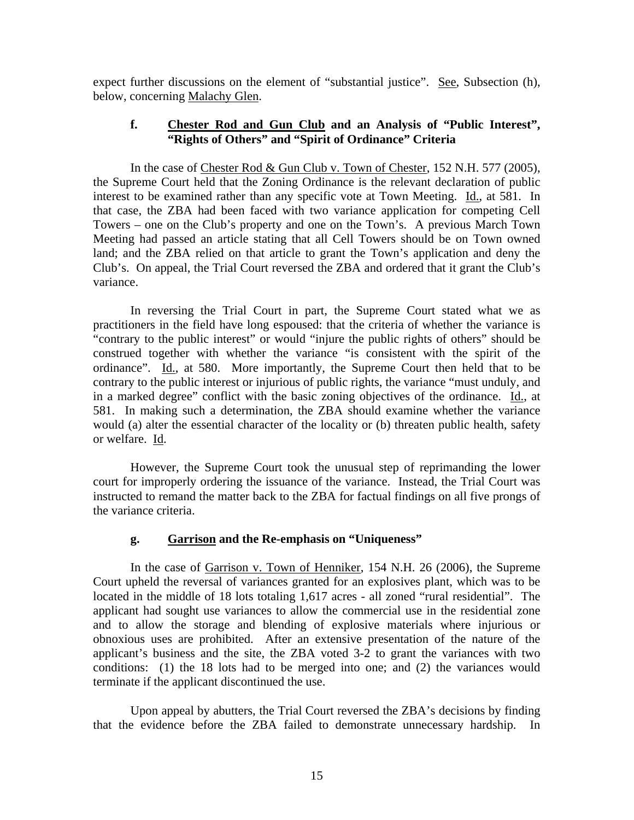expect further discussions on the element of "substantial justice". See, Subsection (h), below, concerning Malachy Glen.

### **f. Chester Rod and Gun Club and an Analysis of "Public Interest", "Rights of Others" and "Spirit of Ordinance" Criteria**

In the case of Chester Rod & Gun Club v. Town of Chester, 152 N.H. 577 (2005), the Supreme Court held that the Zoning Ordinance is the relevant declaration of public interest to be examined rather than any specific vote at Town Meeting. Id., at 581. In that case, the ZBA had been faced with two variance application for competing Cell Towers – one on the Club's property and one on the Town's. A previous March Town Meeting had passed an article stating that all Cell Towers should be on Town owned land; and the ZBA relied on that article to grant the Town's application and deny the Club's. On appeal, the Trial Court reversed the ZBA and ordered that it grant the Club's variance.

In reversing the Trial Court in part, the Supreme Court stated what we as practitioners in the field have long espoused: that the criteria of whether the variance is "contrary to the public interest" or would "injure the public rights of others" should be construed together with whether the variance "is consistent with the spirit of the ordinance". Id., at 580. More importantly, the Supreme Court then held that to be contrary to the public interest or injurious of public rights, the variance "must unduly, and in a marked degree" conflict with the basic zoning objectives of the ordinance. Id., at 581. In making such a determination, the ZBA should examine whether the variance would (a) alter the essential character of the locality or (b) threaten public health, safety or welfare. Id.

However, the Supreme Court took the unusual step of reprimanding the lower court for improperly ordering the issuance of the variance. Instead, the Trial Court was instructed to remand the matter back to the ZBA for factual findings on all five prongs of the variance criteria.

### **g. Garrison and the Re-emphasis on "Uniqueness"**

In the case of Garrison v. Town of Henniker, 154 N.H. 26 (2006), the Supreme Court upheld the reversal of variances granted for an explosives plant, which was to be located in the middle of 18 lots totaling 1,617 acres - all zoned "rural residential". The applicant had sought use variances to allow the commercial use in the residential zone and to allow the storage and blending of explosive materials where injurious or obnoxious uses are prohibited. After an extensive presentation of the nature of the applicant's business and the site, the ZBA voted 3-2 to grant the variances with two conditions: (1) the 18 lots had to be merged into one; and (2) the variances would terminate if the applicant discontinued the use.

 Upon appeal by abutters, the Trial Court reversed the ZBA's decisions by finding that the evidence before the ZBA failed to demonstrate unnecessary hardship. In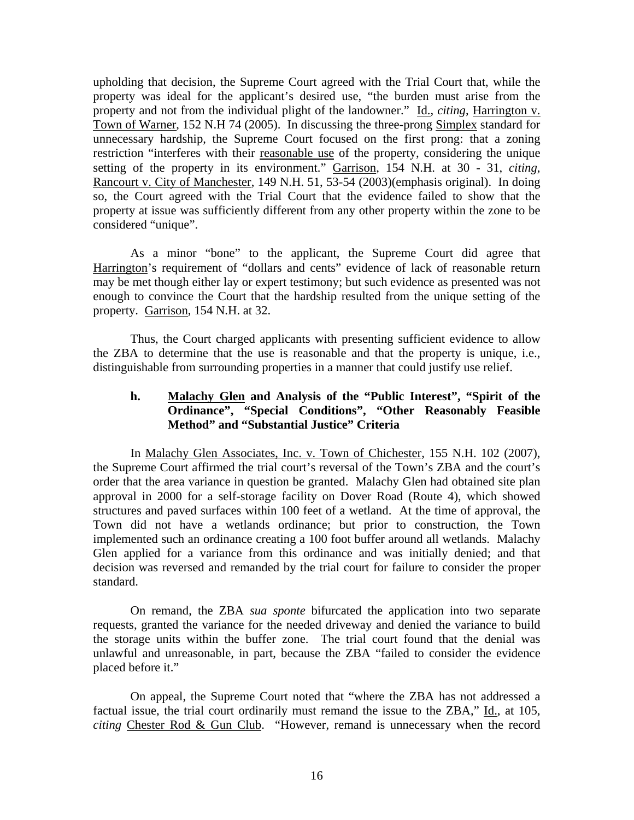upholding that decision, the Supreme Court agreed with the Trial Court that, while the property was ideal for the applicant's desired use, "the burden must arise from the property and not from the individual plight of the landowner." Id., *citing*, Harrington v. Town of Warner, 152 N.H 74 (2005). In discussing the three-prong Simplex standard for unnecessary hardship, the Supreme Court focused on the first prong: that a zoning restriction "interferes with their reasonable use of the property, considering the unique setting of the property in its environment." Garrison, 154 N.H. at 30 - 31, *citing*, Rancourt v. City of Manchester, 149 N.H. 51, 53-54 (2003)(emphasis original). In doing so, the Court agreed with the Trial Court that the evidence failed to show that the property at issue was sufficiently different from any other property within the zone to be considered "unique".

 As a minor "bone" to the applicant, the Supreme Court did agree that Harrington's requirement of "dollars and cents" evidence of lack of reasonable return may be met though either lay or expert testimony; but such evidence as presented was not enough to convince the Court that the hardship resulted from the unique setting of the property. Garrison, 154 N.H. at 32.

 Thus, the Court charged applicants with presenting sufficient evidence to allow the ZBA to determine that the use is reasonable and that the property is unique, i.e., distinguishable from surrounding properties in a manner that could justify use relief.

## **h. Malachy Glen and Analysis of the "Public Interest", "Spirit of the Ordinance", "Special Conditions", "Other Reasonably Feasible Method" and "Substantial Justice" Criteria**

In Malachy Glen Associates, Inc. v. Town of Chichester, 155 N.H. 102 (2007), the Supreme Court affirmed the trial court's reversal of the Town's ZBA and the court's order that the area variance in question be granted. Malachy Glen had obtained site plan approval in 2000 for a self-storage facility on Dover Road (Route 4), which showed structures and paved surfaces within 100 feet of a wetland. At the time of approval, the Town did not have a wetlands ordinance; but prior to construction, the Town implemented such an ordinance creating a 100 foot buffer around all wetlands. Malachy Glen applied for a variance from this ordinance and was initially denied; and that decision was reversed and remanded by the trial court for failure to consider the proper standard.

On remand, the ZBA *sua sponte* bifurcated the application into two separate requests, granted the variance for the needed driveway and denied the variance to build the storage units within the buffer zone. The trial court found that the denial was unlawful and unreasonable, in part, because the ZBA "failed to consider the evidence placed before it."

On appeal, the Supreme Court noted that "where the ZBA has not addressed a factual issue, the trial court ordinarily must remand the issue to the ZBA," Id., at 105, *citing* Chester Rod & Gun Club. "However, remand is unnecessary when the record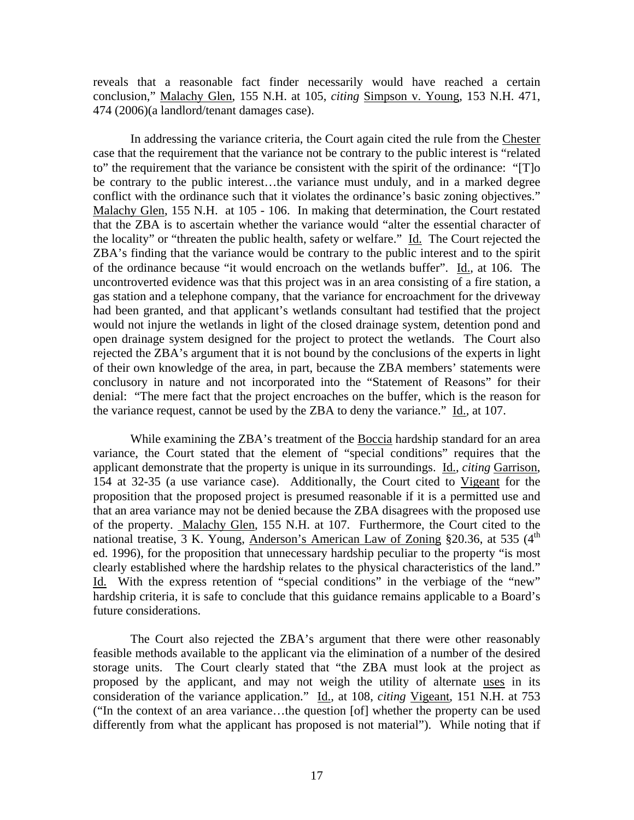reveals that a reasonable fact finder necessarily would have reached a certain conclusion," Malachy Glen, 155 N.H. at 105, *citing* Simpson v. Young, 153 N.H. 471, 474 (2006)(a landlord/tenant damages case).

In addressing the variance criteria, the Court again cited the rule from the Chester case that the requirement that the variance not be contrary to the public interest is "related to" the requirement that the variance be consistent with the spirit of the ordinance: "[T]o be contrary to the public interest…the variance must unduly, and in a marked degree conflict with the ordinance such that it violates the ordinance's basic zoning objectives." Malachy Glen, 155 N.H. at 105 - 106. In making that determination, the Court restated that the ZBA is to ascertain whether the variance would "alter the essential character of the locality" or "threaten the public health, safety or welfare." Id. The Court rejected the ZBA's finding that the variance would be contrary to the public interest and to the spirit of the ordinance because "it would encroach on the wetlands buffer". Id., at 106. The uncontroverted evidence was that this project was in an area consisting of a fire station, a gas station and a telephone company, that the variance for encroachment for the driveway had been granted, and that applicant's wetlands consultant had testified that the project would not injure the wetlands in light of the closed drainage system, detention pond and open drainage system designed for the project to protect the wetlands. The Court also rejected the ZBA's argument that it is not bound by the conclusions of the experts in light of their own knowledge of the area, in part, because the ZBA members' statements were conclusory in nature and not incorporated into the "Statement of Reasons" for their denial: "The mere fact that the project encroaches on the buffer, which is the reason for the variance request, cannot be used by the ZBA to deny the variance." Id., at 107.

While examining the ZBA's treatment of the Boccia hardship standard for an area variance, the Court stated that the element of "special conditions" requires that the applicant demonstrate that the property is unique in its surroundings. Id., *citing* Garrison, 154 at 32-35 (a use variance case). Additionally, the Court cited to Vigeant for the proposition that the proposed project is presumed reasonable if it is a permitted use and that an area variance may not be denied because the ZBA disagrees with the proposed use of the property. Malachy Glen, 155 N.H. at 107. Furthermore, the Court cited to the national treatise, 3 K. Young, Anderson's American Law of Zoning §20.36, at 535  $(4<sup>th</sup>$ ed. 1996), for the proposition that unnecessary hardship peculiar to the property "is most clearly established where the hardship relates to the physical characteristics of the land." Id. With the express retention of "special conditions" in the verbiage of the "new" hardship criteria, it is safe to conclude that this guidance remains applicable to a Board's future considerations.

The Court also rejected the ZBA's argument that there were other reasonably feasible methods available to the applicant via the elimination of a number of the desired storage units. The Court clearly stated that "the ZBA must look at the project as proposed by the applicant, and may not weigh the utility of alternate uses in its consideration of the variance application." Id., at 108, *citing* Vigeant, 151 N.H. at 753 ("In the context of an area variance…the question [of] whether the property can be used differently from what the applicant has proposed is not material"). While noting that if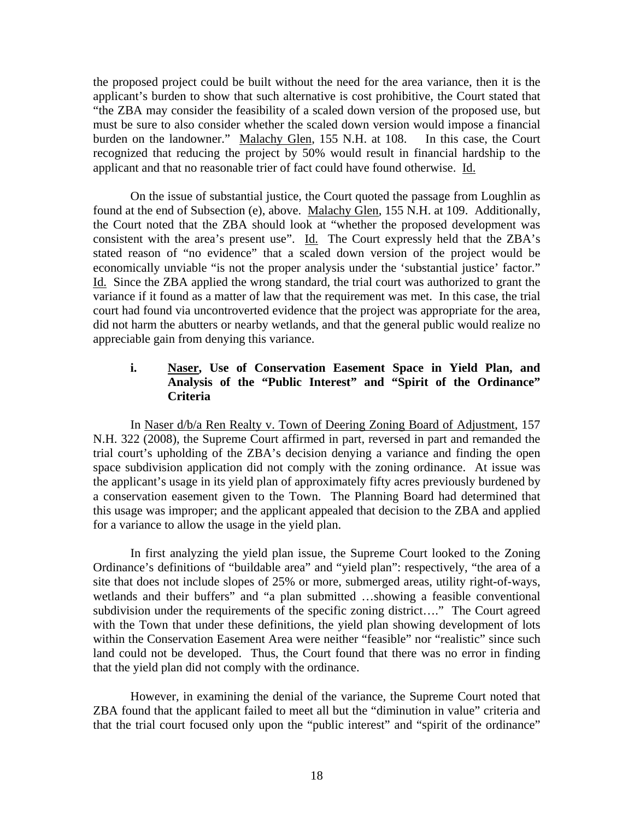the proposed project could be built without the need for the area variance, then it is the applicant's burden to show that such alternative is cost prohibitive, the Court stated that "the ZBA may consider the feasibility of a scaled down version of the proposed use, but must be sure to also consider whether the scaled down version would impose a financial burden on the landowner." Malachy Glen, 155 N.H. at 108. In this case, the Court recognized that reducing the project by 50% would result in financial hardship to the applicant and that no reasonable trier of fact could have found otherwise. Id.

On the issue of substantial justice, the Court quoted the passage from Loughlin as found at the end of Subsection (e), above. Malachy Glen, 155 N.H. at 109. Additionally, the Court noted that the ZBA should look at "whether the proposed development was consistent with the area's present use". Id. The Court expressly held that the ZBA's stated reason of "no evidence" that a scaled down version of the project would be economically unviable "is not the proper analysis under the 'substantial justice' factor." Id. Since the ZBA applied the wrong standard, the trial court was authorized to grant the variance if it found as a matter of law that the requirement was met. In this case, the trial court had found via uncontroverted evidence that the project was appropriate for the area, did not harm the abutters or nearby wetlands, and that the general public would realize no appreciable gain from denying this variance.

## **i. Naser, Use of Conservation Easement Space in Yield Plan, and Analysis of the "Public Interest" and "Spirit of the Ordinance" Criteria**

In Naser d/b/a Ren Realty v. Town of Deering Zoning Board of Adjustment, 157 N.H. 322 (2008), the Supreme Court affirmed in part, reversed in part and remanded the trial court's upholding of the ZBA's decision denying a variance and finding the open space subdivision application did not comply with the zoning ordinance. At issue was the applicant's usage in its yield plan of approximately fifty acres previously burdened by a conservation easement given to the Town. The Planning Board had determined that this usage was improper; and the applicant appealed that decision to the ZBA and applied for a variance to allow the usage in the yield plan.

In first analyzing the yield plan issue, the Supreme Court looked to the Zoning Ordinance's definitions of "buildable area" and "yield plan": respectively, "the area of a site that does not include slopes of 25% or more, submerged areas, utility right-of-ways, wetlands and their buffers" and "a plan submitted …showing a feasible conventional subdivision under the requirements of the specific zoning district…." The Court agreed with the Town that under these definitions, the yield plan showing development of lots within the Conservation Easement Area were neither "feasible" nor "realistic" since such land could not be developed. Thus, the Court found that there was no error in finding that the yield plan did not comply with the ordinance.

However, in examining the denial of the variance, the Supreme Court noted that ZBA found that the applicant failed to meet all but the "diminution in value" criteria and that the trial court focused only upon the "public interest" and "spirit of the ordinance"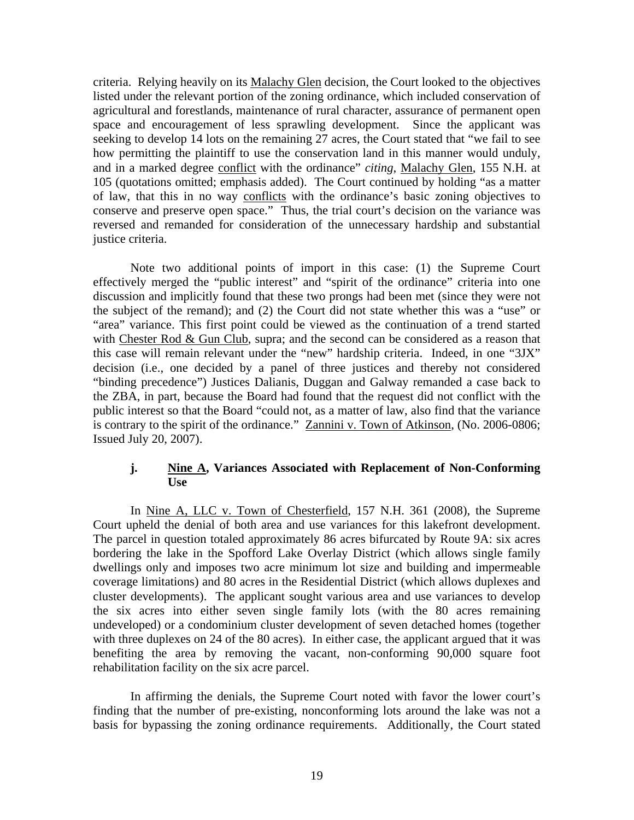criteria. Relying heavily on its Malachy Glen decision, the Court looked to the objectives listed under the relevant portion of the zoning ordinance, which included conservation of agricultural and forestlands, maintenance of rural character, assurance of permanent open space and encouragement of less sprawling development. Since the applicant was seeking to develop 14 lots on the remaining 27 acres, the Court stated that "we fail to see how permitting the plaintiff to use the conservation land in this manner would unduly, and in a marked degree conflict with the ordinance" *citing*, Malachy Glen, 155 N.H. at 105 (quotations omitted; emphasis added). The Court continued by holding "as a matter of law, that this in no way conflicts with the ordinance's basic zoning objectives to conserve and preserve open space." Thus, the trial court's decision on the variance was reversed and remanded for consideration of the unnecessary hardship and substantial justice criteria.

Note two additional points of import in this case: (1) the Supreme Court effectively merged the "public interest" and "spirit of the ordinance" criteria into one discussion and implicitly found that these two prongs had been met (since they were not the subject of the remand); and (2) the Court did not state whether this was a "use" or "area" variance. This first point could be viewed as the continuation of a trend started with Chester Rod & Gun Club, supra; and the second can be considered as a reason that this case will remain relevant under the "new" hardship criteria. Indeed, in one "3JX" decision (i.e., one decided by a panel of three justices and thereby not considered "binding precedence") Justices Dalianis, Duggan and Galway remanded a case back to the ZBA, in part, because the Board had found that the request did not conflict with the public interest so that the Board "could not, as a matter of law, also find that the variance is contrary to the spirit of the ordinance." Zannini v. Town of Atkinson, (No. 2006-0806; Issued July 20, 2007).

## **j. Nine A, Variances Associated with Replacement of Non-Conforming Use**

In Nine A, LLC v. Town of Chesterfield, 157 N.H. 361 (2008), the Supreme Court upheld the denial of both area and use variances for this lakefront development. The parcel in question totaled approximately 86 acres bifurcated by Route 9A: six acres bordering the lake in the Spofford Lake Overlay District (which allows single family dwellings only and imposes two acre minimum lot size and building and impermeable coverage limitations) and 80 acres in the Residential District (which allows duplexes and cluster developments). The applicant sought various area and use variances to develop the six acres into either seven single family lots (with the 80 acres remaining undeveloped) or a condominium cluster development of seven detached homes (together with three duplexes on 24 of the 80 acres). In either case, the applicant argued that it was benefiting the area by removing the vacant, non-conforming 90,000 square foot rehabilitation facility on the six acre parcel.

In affirming the denials, the Supreme Court noted with favor the lower court's finding that the number of pre-existing, nonconforming lots around the lake was not a basis for bypassing the zoning ordinance requirements. Additionally, the Court stated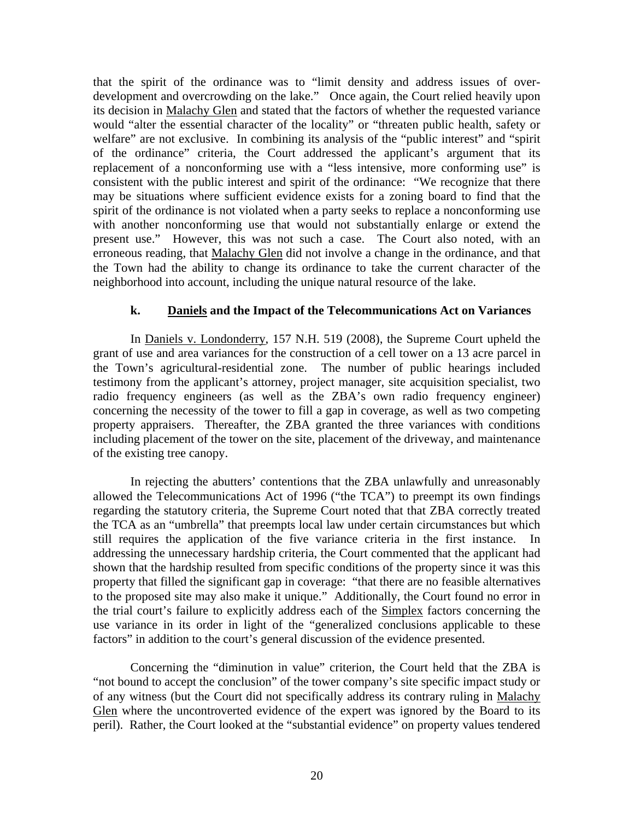that the spirit of the ordinance was to "limit density and address issues of overdevelopment and overcrowding on the lake." Once again, the Court relied heavily upon its decision in Malachy Glen and stated that the factors of whether the requested variance would "alter the essential character of the locality" or "threaten public health, safety or welfare" are not exclusive. In combining its analysis of the "public interest" and "spirit of the ordinance" criteria, the Court addressed the applicant's argument that its replacement of a nonconforming use with a "less intensive, more conforming use" is consistent with the public interest and spirit of the ordinance: "We recognize that there may be situations where sufficient evidence exists for a zoning board to find that the spirit of the ordinance is not violated when a party seeks to replace a nonconforming use with another nonconforming use that would not substantially enlarge or extend the present use." However, this was not such a case. The Court also noted, with an erroneous reading, that Malachy Glen did not involve a change in the ordinance, and that the Town had the ability to change its ordinance to take the current character of the neighborhood into account, including the unique natural resource of the lake.

## **k. Daniels and the Impact of the Telecommunications Act on Variances**

 In Daniels v. Londonderry, 157 N.H. 519 (2008), the Supreme Court upheld the grant of use and area variances for the construction of a cell tower on a 13 acre parcel in the Town's agricultural-residential zone. The number of public hearings included testimony from the applicant's attorney, project manager, site acquisition specialist, two radio frequency engineers (as well as the ZBA's own radio frequency engineer) concerning the necessity of the tower to fill a gap in coverage, as well as two competing property appraisers. Thereafter, the ZBA granted the three variances with conditions including placement of the tower on the site, placement of the driveway, and maintenance of the existing tree canopy.

 In rejecting the abutters' contentions that the ZBA unlawfully and unreasonably allowed the Telecommunications Act of 1996 ("the TCA") to preempt its own findings regarding the statutory criteria, the Supreme Court noted that that ZBA correctly treated the TCA as an "umbrella" that preempts local law under certain circumstances but which still requires the application of the five variance criteria in the first instance. In addressing the unnecessary hardship criteria, the Court commented that the applicant had shown that the hardship resulted from specific conditions of the property since it was this property that filled the significant gap in coverage: "that there are no feasible alternatives to the proposed site may also make it unique." Additionally, the Court found no error in the trial court's failure to explicitly address each of the Simplex factors concerning the use variance in its order in light of the "generalized conclusions applicable to these factors" in addition to the court's general discussion of the evidence presented.

 Concerning the "diminution in value" criterion, the Court held that the ZBA is "not bound to accept the conclusion" of the tower company's site specific impact study or of any witness (but the Court did not specifically address its contrary ruling in Malachy Glen where the uncontroverted evidence of the expert was ignored by the Board to its peril). Rather, the Court looked at the "substantial evidence" on property values tendered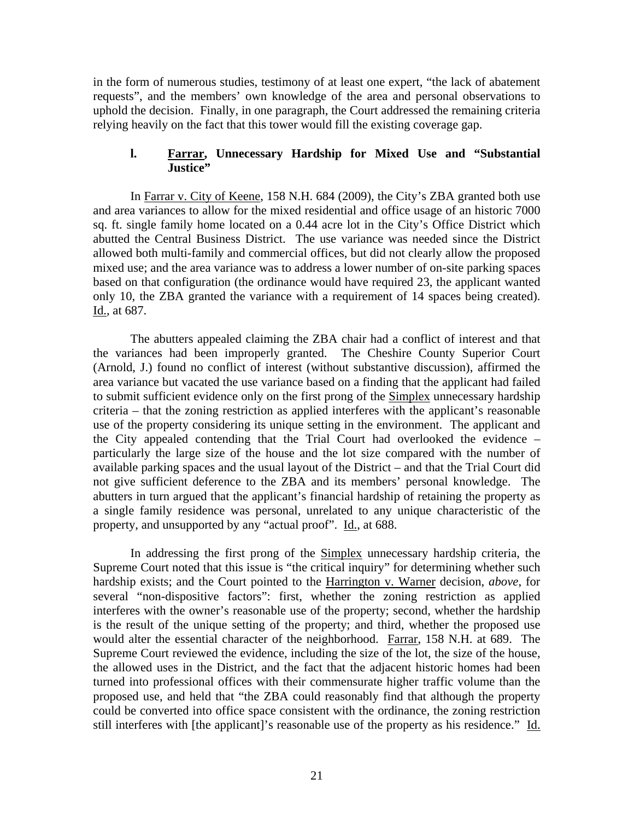in the form of numerous studies, testimony of at least one expert, "the lack of abatement requests", and the members' own knowledge of the area and personal observations to uphold the decision. Finally, in one paragraph, the Court addressed the remaining criteria relying heavily on the fact that this tower would fill the existing coverage gap.

### **l. Farrar, Unnecessary Hardship for Mixed Use and "Substantial Justice"**

 In Farrar v. City of Keene, 158 N.H. 684 (2009), the City's ZBA granted both use and area variances to allow for the mixed residential and office usage of an historic 7000 sq. ft. single family home located on a 0.44 acre lot in the City's Office District which abutted the Central Business District. The use variance was needed since the District allowed both multi-family and commercial offices, but did not clearly allow the proposed mixed use; and the area variance was to address a lower number of on-site parking spaces based on that configuration (the ordinance would have required 23, the applicant wanted only 10, the ZBA granted the variance with a requirement of 14 spaces being created). Id., at 687.

 The abutters appealed claiming the ZBA chair had a conflict of interest and that the variances had been improperly granted. The Cheshire County Superior Court (Arnold, J.) found no conflict of interest (without substantive discussion), affirmed the area variance but vacated the use variance based on a finding that the applicant had failed to submit sufficient evidence only on the first prong of the Simplex unnecessary hardship criteria – that the zoning restriction as applied interferes with the applicant's reasonable use of the property considering its unique setting in the environment. The applicant and the City appealed contending that the Trial Court had overlooked the evidence – particularly the large size of the house and the lot size compared with the number of available parking spaces and the usual layout of the District – and that the Trial Court did not give sufficient deference to the ZBA and its members' personal knowledge. The abutters in turn argued that the applicant's financial hardship of retaining the property as a single family residence was personal, unrelated to any unique characteristic of the property, and unsupported by any "actual proof". Id., at 688.

 In addressing the first prong of the Simplex unnecessary hardship criteria, the Supreme Court noted that this issue is "the critical inquiry" for determining whether such hardship exists; and the Court pointed to the Harrington v. Warner decision, *above*, for several "non-dispositive factors": first, whether the zoning restriction as applied interferes with the owner's reasonable use of the property; second, whether the hardship is the result of the unique setting of the property; and third, whether the proposed use would alter the essential character of the neighborhood. Farrar, 158 N.H. at 689. The Supreme Court reviewed the evidence, including the size of the lot, the size of the house, the allowed uses in the District, and the fact that the adjacent historic homes had been turned into professional offices with their commensurate higher traffic volume than the proposed use, and held that "the ZBA could reasonably find that although the property could be converted into office space consistent with the ordinance, the zoning restriction still interferes with [the applicant]'s reasonable use of the property as his residence." Id.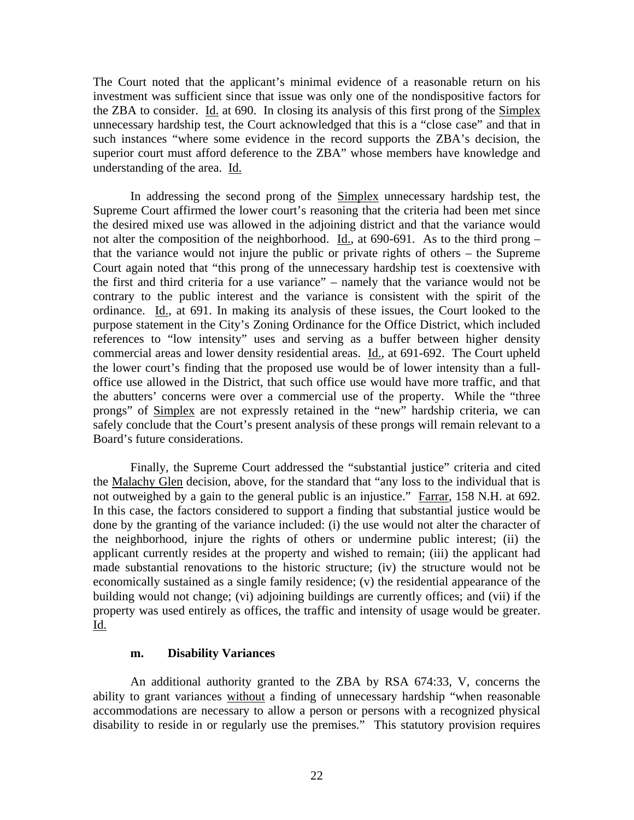The Court noted that the applicant's minimal evidence of a reasonable return on his investment was sufficient since that issue was only one of the nondispositive factors for the ZBA to consider. Id. at 690. In closing its analysis of this first prong of the Simplex unnecessary hardship test, the Court acknowledged that this is a "close case" and that in such instances "where some evidence in the record supports the ZBA's decision, the superior court must afford deference to the ZBA" whose members have knowledge and understanding of the area. Id.

 In addressing the second prong of the Simplex unnecessary hardship test, the Supreme Court affirmed the lower court's reasoning that the criteria had been met since the desired mixed use was allowed in the adjoining district and that the variance would not alter the composition of the neighborhood. Id., at 690-691. As to the third prong – that the variance would not injure the public or private rights of others – the Supreme Court again noted that "this prong of the unnecessary hardship test is coextensive with the first and third criteria for a use variance" – namely that the variance would not be contrary to the public interest and the variance is consistent with the spirit of the ordinance. Id., at 691. In making its analysis of these issues, the Court looked to the purpose statement in the City's Zoning Ordinance for the Office District, which included references to "low intensity" uses and serving as a buffer between higher density commercial areas and lower density residential areas. Id., at 691-692. The Court upheld the lower court's finding that the proposed use would be of lower intensity than a fulloffice use allowed in the District, that such office use would have more traffic, and that the abutters' concerns were over a commercial use of the property. While the "three prongs" of Simplex are not expressly retained in the "new" hardship criteria, we can safely conclude that the Court's present analysis of these prongs will remain relevant to a Board's future considerations.

 Finally, the Supreme Court addressed the "substantial justice" criteria and cited the Malachy Glen decision, above, for the standard that "any loss to the individual that is not outweighed by a gain to the general public is an injustice." Farrar, 158 N.H. at 692. In this case, the factors considered to support a finding that substantial justice would be done by the granting of the variance included: (i) the use would not alter the character of the neighborhood, injure the rights of others or undermine public interest; (ii) the applicant currently resides at the property and wished to remain; (iii) the applicant had made substantial renovations to the historic structure; (iv) the structure would not be economically sustained as a single family residence; (v) the residential appearance of the building would not change; (vi) adjoining buildings are currently offices; and (vii) if the property was used entirely as offices, the traffic and intensity of usage would be greater. Id.

### **m. Disability Variances**

An additional authority granted to the ZBA by RSA 674:33, V, concerns the ability to grant variances without a finding of unnecessary hardship "when reasonable accommodations are necessary to allow a person or persons with a recognized physical disability to reside in or regularly use the premises." This statutory provision requires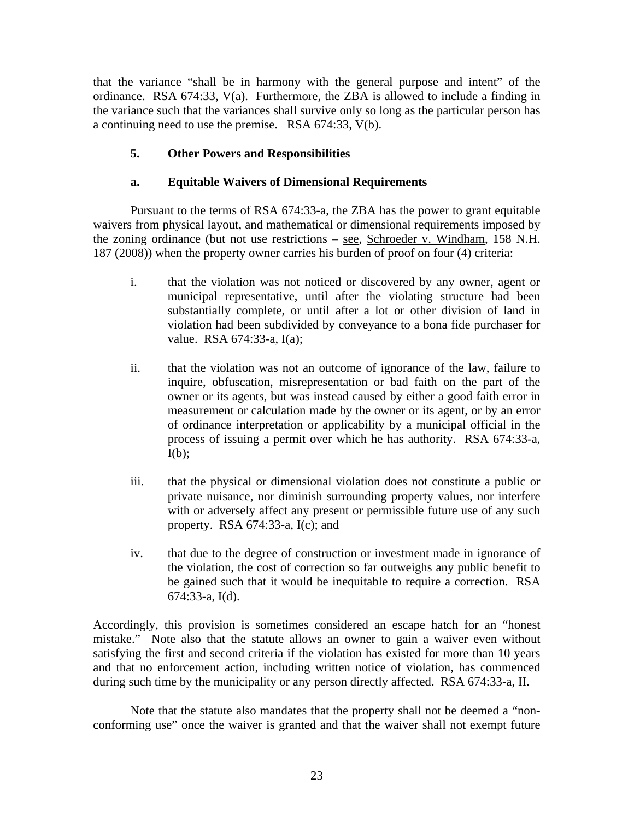that the variance "shall be in harmony with the general purpose and intent" of the ordinance. RSA 674:33, V(a). Furthermore, the ZBA is allowed to include a finding in the variance such that the variances shall survive only so long as the particular person has a continuing need to use the premise. RSA 674:33, V(b).

# **5. Other Powers and Responsibilities**

## **a. Equitable Waivers of Dimensional Requirements**

 Pursuant to the terms of RSA 674:33-a, the ZBA has the power to grant equitable waivers from physical layout, and mathematical or dimensional requirements imposed by the zoning ordinance (but not use restrictions – see, Schroeder v. Windham, 158 N.H. 187 (2008)) when the property owner carries his burden of proof on four (4) criteria:

- i. that the violation was not noticed or discovered by any owner, agent or municipal representative, until after the violating structure had been substantially complete, or until after a lot or other division of land in violation had been subdivided by conveyance to a bona fide purchaser for value. RSA 674:33-a, I(a);
- ii. that the violation was not an outcome of ignorance of the law, failure to inquire, obfuscation, misrepresentation or bad faith on the part of the owner or its agents, but was instead caused by either a good faith error in measurement or calculation made by the owner or its agent, or by an error of ordinance interpretation or applicability by a municipal official in the process of issuing a permit over which he has authority. RSA 674:33-a,  $I(b)$ ;
- iii. that the physical or dimensional violation does not constitute a public or private nuisance, nor diminish surrounding property values, nor interfere with or adversely affect any present or permissible future use of any such property. RSA 674:33-a, I(c); and
- iv. that due to the degree of construction or investment made in ignorance of the violation, the cost of correction so far outweighs any public benefit to be gained such that it would be inequitable to require a correction. RSA 674:33-a, I(d).

Accordingly, this provision is sometimes considered an escape hatch for an "honest mistake." Note also that the statute allows an owner to gain a waiver even without satisfying the first and second criteria if the violation has existed for more than 10 years and that no enforcement action, including written notice of violation, has commenced during such time by the municipality or any person directly affected. RSA 674:33-a, II.

 Note that the statute also mandates that the property shall not be deemed a "nonconforming use" once the waiver is granted and that the waiver shall not exempt future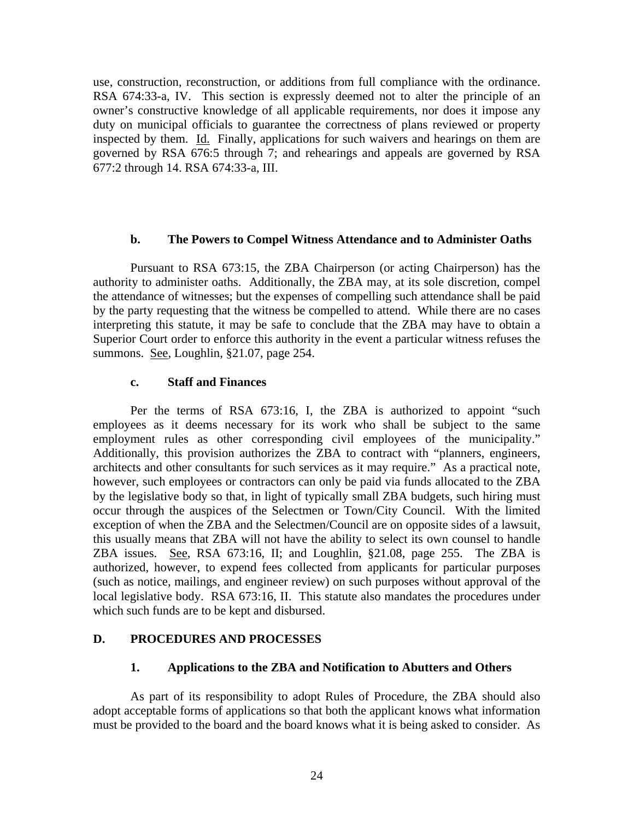use, construction, reconstruction, or additions from full compliance with the ordinance. RSA 674:33-a, IV. This section is expressly deemed not to alter the principle of an owner's constructive knowledge of all applicable requirements, nor does it impose any duty on municipal officials to guarantee the correctness of plans reviewed or property inspected by them. Id. Finally, applications for such waivers and hearings on them are governed by RSA 676:5 through 7; and rehearings and appeals are governed by RSA 677:2 through 14. RSA 674:33-a, III.

### **b. The Powers to Compel Witness Attendance and to Administer Oaths**

 Pursuant to RSA 673:15, the ZBA Chairperson (or acting Chairperson) has the authority to administer oaths. Additionally, the ZBA may, at its sole discretion, compel the attendance of witnesses; but the expenses of compelling such attendance shall be paid by the party requesting that the witness be compelled to attend. While there are no cases interpreting this statute, it may be safe to conclude that the ZBA may have to obtain a Superior Court order to enforce this authority in the event a particular witness refuses the summons. See, Loughlin, §21.07, page 254.

## **c. Staff and Finances**

 Per the terms of RSA 673:16, I, the ZBA is authorized to appoint "such employees as it deems necessary for its work who shall be subject to the same employment rules as other corresponding civil employees of the municipality." Additionally, this provision authorizes the ZBA to contract with "planners, engineers, architects and other consultants for such services as it may require." As a practical note, however, such employees or contractors can only be paid via funds allocated to the ZBA by the legislative body so that, in light of typically small ZBA budgets, such hiring must occur through the auspices of the Selectmen or Town/City Council. With the limited exception of when the ZBA and the Selectmen/Council are on opposite sides of a lawsuit, this usually means that ZBA will not have the ability to select its own counsel to handle ZBA issues. See, RSA 673:16, II; and Loughlin, §21.08, page 255. The ZBA is authorized, however, to expend fees collected from applicants for particular purposes (such as notice, mailings, and engineer review) on such purposes without approval of the local legislative body. RSA 673:16, II. This statute also mandates the procedures under which such funds are to be kept and disbursed.

## **D. PROCEDURES AND PROCESSES**

## **1. Applications to the ZBA and Notification to Abutters and Others**

As part of its responsibility to adopt Rules of Procedure, the ZBA should also adopt acceptable forms of applications so that both the applicant knows what information must be provided to the board and the board knows what it is being asked to consider. As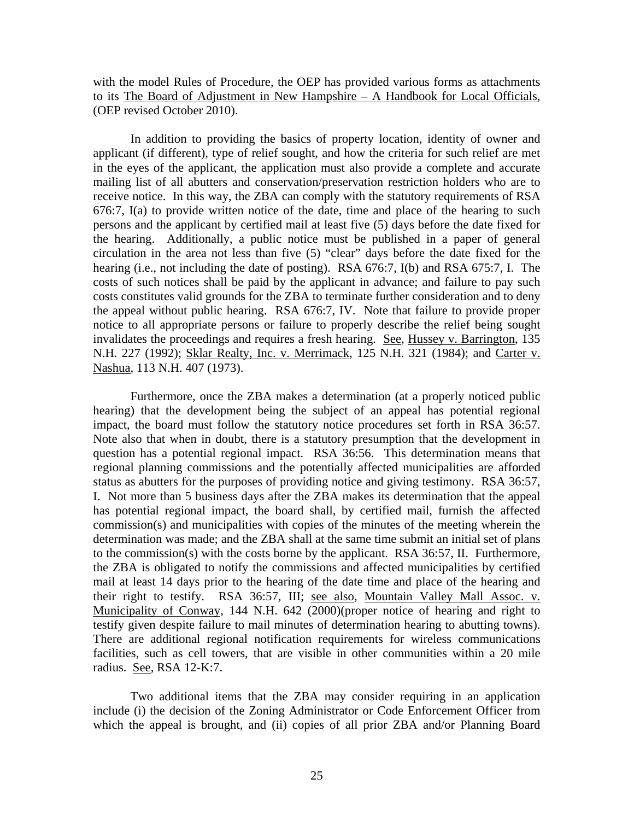with the model Rules of Procedure, the OEP has provided various forms as attachments to its The Board of Adjustment in New Hampshire – A Handbook for Local Officials, (OEP revised October 2010).

In addition to providing the basics of property location, identity of owner and applicant (if different), type of relief sought, and how the criteria for such relief are met in the eyes of the applicant, the application must also provide a complete and accurate mailing list of all abutters and conservation/preservation restriction holders who are to receive notice. In this way, the ZBA can comply with the statutory requirements of RSA 676:7, I(a) to provide written notice of the date, time and place of the hearing to such persons and the applicant by certified mail at least five (5) days before the date fixed for the hearing. Additionally, a public notice must be published in a paper of general circulation in the area not less than five (5) "clear" days before the date fixed for the hearing (i.e., not including the date of posting). RSA 676:7, I(b) and RSA 675:7, I. The costs of such notices shall be paid by the applicant in advance; and failure to pay such costs constitutes valid grounds for the ZBA to terminate further consideration and to deny the appeal without public hearing. RSA 676:7, IV. Note that failure to provide proper notice to all appropriate persons or failure to properly describe the relief being sought invalidates the proceedings and requires a fresh hearing. See, Hussey v. Barrington, 135 N.H. 227 (1992); Sklar Realty, Inc. v. Merrimack, 125 N.H. 321 (1984); and Carter v. Nashua, 113 N.H. 407 (1973).

Furthermore, once the ZBA makes a determination (at a properly noticed public hearing) that the development being the subject of an appeal has potential regional impact, the board must follow the statutory notice procedures set forth in RSA 36:57. Note also that when in doubt, there is a statutory presumption that the development in question has a potential regional impact. RSA 36:56. This determination means that regional planning commissions and the potentially affected municipalities are afforded status as abutters for the purposes of providing notice and giving testimony. RSA 36:57, I. Not more than 5 business days after the ZBA makes its determination that the appeal has potential regional impact, the board shall, by certified mail, furnish the affected commission(s) and municipalities with copies of the minutes of the meeting wherein the determination was made; and the ZBA shall at the same time submit an initial set of plans to the commission(s) with the costs borne by the applicant. RSA 36:57, II. Furthermore, the ZBA is obligated to notify the commissions and affected municipalities by certified mail at least 14 days prior to the hearing of the date time and place of the hearing and their right to testify. RSA 36:57, III; see also, Mountain Valley Mall Assoc. v. Municipality of Conway, 144 N.H. 642 (2000)(proper notice of hearing and right to testify given despite failure to mail minutes of determination hearing to abutting towns). There are additional regional notification requirements for wireless communications facilities, such as cell towers, that are visible in other communities within a 20 mile radius. See, RSA 12-K:7.

Two additional items that the ZBA may consider requiring in an application include (i) the decision of the Zoning Administrator or Code Enforcement Officer from which the appeal is brought, and (ii) copies of all prior ZBA and/or Planning Board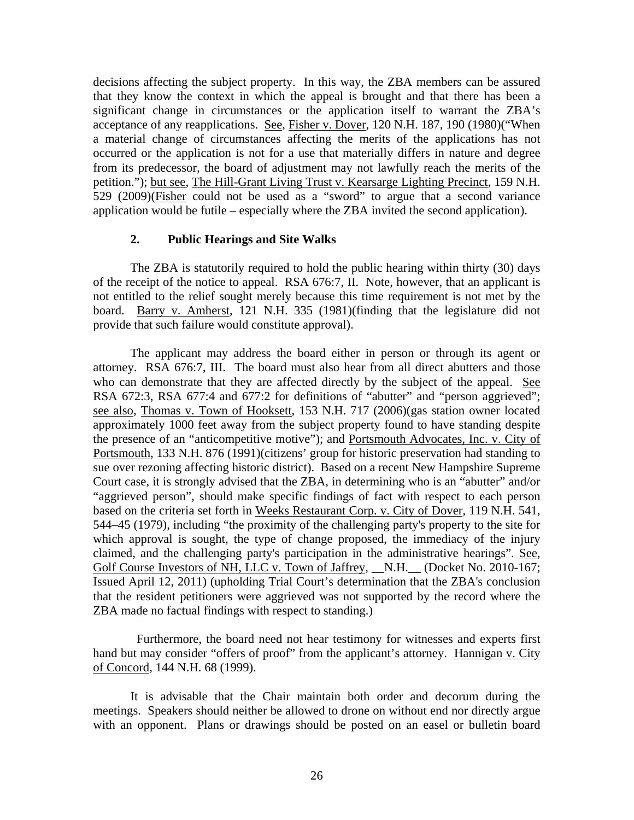decisions affecting the subject property. In this way, the ZBA members can be assured that they know the context in which the appeal is brought and that there has been a significant change in circumstances or the application itself to warrant the ZBA's acceptance of any reapplications. See, Fisher v. Dover, 120 N.H. 187, 190 (1980)("When a material change of circumstances affecting the merits of the applications has not occurred or the application is not for a use that materially differs in nature and degree from its predecessor, the board of adjustment may not lawfully reach the merits of the petition."); but see, The Hill-Grant Living Trust v. Kearsarge Lighting Precinct, 159 N.H. 529 (2009)(Fisher could not be used as a "sword" to argue that a second variance application would be futile – especially where the ZBA invited the second application).

## **2. Public Hearings and Site Walks**

The ZBA is statutorily required to hold the public hearing within thirty (30) days of the receipt of the notice to appeal. RSA 676:7, II. Note, however, that an applicant is not entitled to the relief sought merely because this time requirement is not met by the board. Barry v. Amherst, 121 N.H. 335 (1981)(finding that the legislature did not provide that such failure would constitute approval).

The applicant may address the board either in person or through its agent or attorney. RSA 676:7, III. The board must also hear from all direct abutters and those who can demonstrate that they are affected directly by the subject of the appeal. See RSA 672:3, RSA 677:4 and 677:2 for definitions of "abutter" and "person aggrieved"; see also, Thomas v. Town of Hooksett, 153 N.H. 717 (2006)(gas station owner located approximately 1000 feet away from the subject property found to have standing despite the presence of an "anticompetitive motive"); and Portsmouth Advocates, Inc. v. City of Portsmouth, 133 N.H. 876 (1991)(citizens' group for historic preservation had standing to sue over rezoning affecting historic district). Based on a recent New Hampshire Supreme Court case, it is strongly advised that the ZBA, in determining who is an "abutter" and/or "aggrieved person", should make specific findings of fact with respect to each person based on the criteria set forth in Weeks Restaurant Corp. v. City of Dover*,* 119 N.H. 541, 544–45 (1979), including "the proximity of the challenging party's property to the site for which approval is sought, the type of change proposed, the immediacy of the injury claimed, and the challenging party's participation in the administrative hearings". See, Golf Course Investors of NH, LLC v. Town of Jaffrey, \_\_N.H. \_\_ (Docket No. 2010-167; Issued April 12, 2011) (upholding Trial Court's determination that the ZBA's conclusion that the resident petitioners were aggrieved was not supported by the record where the ZBA made no factual findings with respect to standing.)

 Furthermore, the board need not hear testimony for witnesses and experts first hand but may consider "offers of proof" from the applicant's attorney. Hannigan v. City of Concord, 144 N.H. 68 (1999).

It is advisable that the Chair maintain both order and decorum during the meetings. Speakers should neither be allowed to drone on without end nor directly argue with an opponent. Plans or drawings should be posted on an easel or bulletin board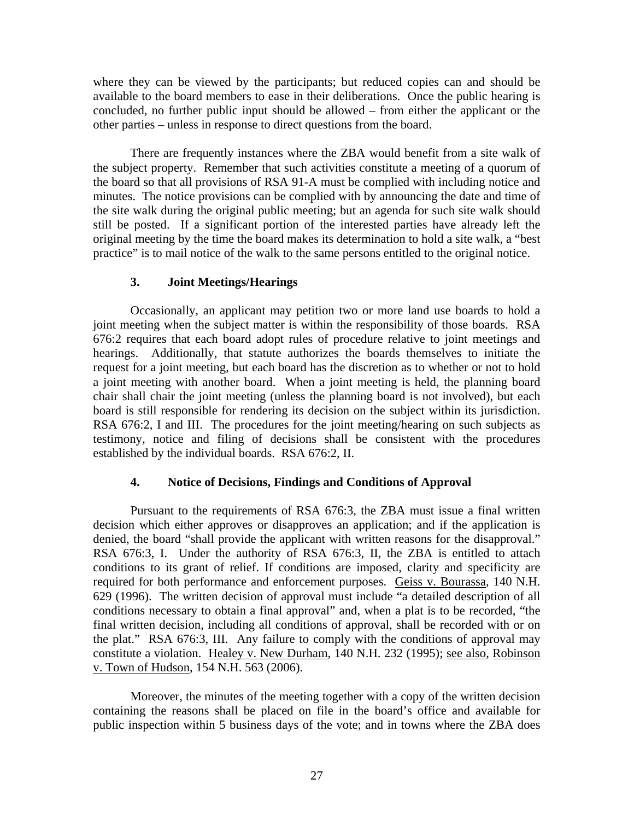where they can be viewed by the participants; but reduced copies can and should be available to the board members to ease in their deliberations. Once the public hearing is concluded, no further public input should be allowed – from either the applicant or the other parties – unless in response to direct questions from the board.

There are frequently instances where the ZBA would benefit from a site walk of the subject property. Remember that such activities constitute a meeting of a quorum of the board so that all provisions of RSA 91-A must be complied with including notice and minutes. The notice provisions can be complied with by announcing the date and time of the site walk during the original public meeting; but an agenda for such site walk should still be posted. If a significant portion of the interested parties have already left the original meeting by the time the board makes its determination to hold a site walk, a "best practice" is to mail notice of the walk to the same persons entitled to the original notice.

## **3. Joint Meetings/Hearings**

Occasionally, an applicant may petition two or more land use boards to hold a joint meeting when the subject matter is within the responsibility of those boards. RSA 676:2 requires that each board adopt rules of procedure relative to joint meetings and hearings. Additionally, that statute authorizes the boards themselves to initiate the request for a joint meeting, but each board has the discretion as to whether or not to hold a joint meeting with another board. When a joint meeting is held, the planning board chair shall chair the joint meeting (unless the planning board is not involved), but each board is still responsible for rendering its decision on the subject within its jurisdiction. RSA 676:2, I and III. The procedures for the joint meeting/hearing on such subjects as testimony, notice and filing of decisions shall be consistent with the procedures established by the individual boards. RSA 676:2, II.

## **4. Notice of Decisions, Findings and Conditions of Approval**

Pursuant to the requirements of RSA 676:3, the ZBA must issue a final written decision which either approves or disapproves an application; and if the application is denied, the board "shall provide the applicant with written reasons for the disapproval." RSA 676:3, I. Under the authority of RSA 676:3, II, the ZBA is entitled to attach conditions to its grant of relief. If conditions are imposed, clarity and specificity are required for both performance and enforcement purposes. Geiss v. Bourassa, 140 N.H. 629 (1996). The written decision of approval must include "a detailed description of all conditions necessary to obtain a final approval" and, when a plat is to be recorded, "the final written decision, including all conditions of approval, shall be recorded with or on the plat." RSA 676:3, III. Any failure to comply with the conditions of approval may constitute a violation. Healey v. New Durham, 140 N.H. 232 (1995); see also, Robinson v. Town of Hudson, 154 N.H. 563 (2006).

Moreover, the minutes of the meeting together with a copy of the written decision containing the reasons shall be placed on file in the board's office and available for public inspection within 5 business days of the vote; and in towns where the ZBA does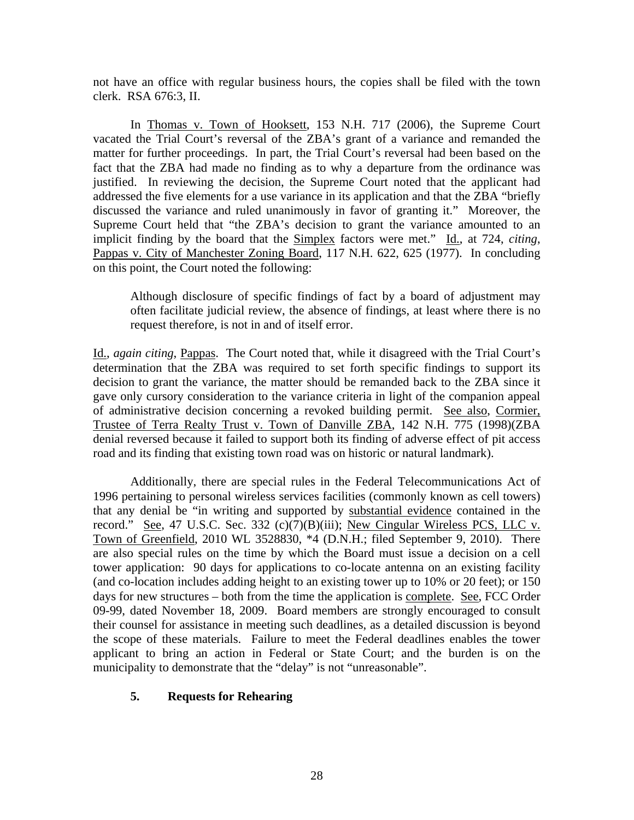not have an office with regular business hours, the copies shall be filed with the town clerk. RSA 676:3, II.

In Thomas v. Town of Hooksett, 153 N.H. 717 (2006), the Supreme Court vacated the Trial Court's reversal of the ZBA's grant of a variance and remanded the matter for further proceedings. In part, the Trial Court's reversal had been based on the fact that the ZBA had made no finding as to why a departure from the ordinance was justified. In reviewing the decision, the Supreme Court noted that the applicant had addressed the five elements for a use variance in its application and that the ZBA "briefly discussed the variance and ruled unanimously in favor of granting it." Moreover, the Supreme Court held that "the ZBA's decision to grant the variance amounted to an implicit finding by the board that the Simplex factors were met." Id., at 724, *citing*, Pappas v. City of Manchester Zoning Board, 117 N.H. 622, 625 (1977). In concluding on this point, the Court noted the following:

Although disclosure of specific findings of fact by a board of adjustment may often facilitate judicial review, the absence of findings, at least where there is no request therefore, is not in and of itself error.

Id., *again citing*, Pappas. The Court noted that, while it disagreed with the Trial Court's determination that the ZBA was required to set forth specific findings to support its decision to grant the variance, the matter should be remanded back to the ZBA since it gave only cursory consideration to the variance criteria in light of the companion appeal of administrative decision concerning a revoked building permit. See also, Cormier, Trustee of Terra Realty Trust v. Town of Danville ZBA, 142 N.H. 775 (1998)(ZBA denial reversed because it failed to support both its finding of adverse effect of pit access road and its finding that existing town road was on historic or natural landmark).

 Additionally, there are special rules in the Federal Telecommunications Act of 1996 pertaining to personal wireless services facilities (commonly known as cell towers) that any denial be "in writing and supported by substantial evidence contained in the record." See, 47 U.S.C. Sec. 332 (c)(7)(B)(iii); New Cingular Wireless PCS, LLC v. Town of Greenfield, 2010 WL 3528830, \*4 (D.N.H.; filed September 9, 2010). There are also special rules on the time by which the Board must issue a decision on a cell tower application: 90 days for applications to co-locate antenna on an existing facility (and co-location includes adding height to an existing tower up to 10% or 20 feet); or 150 days for new structures – both from the time the application is complete. See, FCC Order 09-99, dated November 18, 2009. Board members are strongly encouraged to consult their counsel for assistance in meeting such deadlines, as a detailed discussion is beyond the scope of these materials. Failure to meet the Federal deadlines enables the tower applicant to bring an action in Federal or State Court; and the burden is on the municipality to demonstrate that the "delay" is not "unreasonable".

# **5. Requests for Rehearing**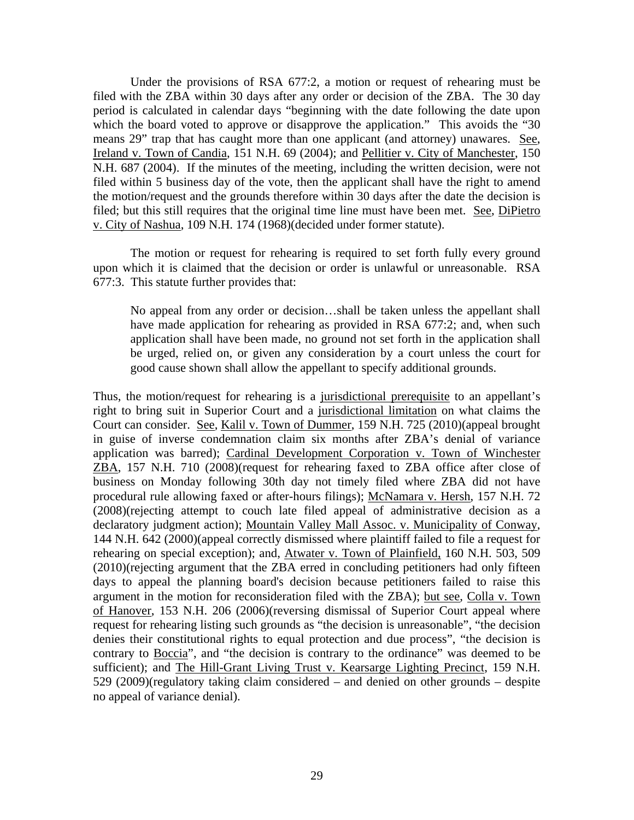Under the provisions of RSA 677:2, a motion or request of rehearing must be filed with the ZBA within 30 days after any order or decision of the ZBA. The 30 day period is calculated in calendar days "beginning with the date following the date upon which the board voted to approve or disapprove the application." This avoids the "30" means 29" trap that has caught more than one applicant (and attorney) unawares. See, Ireland v. Town of Candia, 151 N.H. 69 (2004); and Pellitier v. City of Manchester, 150 N.H. 687 (2004). If the minutes of the meeting, including the written decision, were not filed within 5 business day of the vote, then the applicant shall have the right to amend the motion/request and the grounds therefore within 30 days after the date the decision is filed; but this still requires that the original time line must have been met. See, DiPietro v. City of Nashua, 109 N.H. 174 (1968)(decided under former statute).

 The motion or request for rehearing is required to set forth fully every ground upon which it is claimed that the decision or order is unlawful or unreasonable. RSA 677:3. This statute further provides that:

No appeal from any order or decision…shall be taken unless the appellant shall have made application for rehearing as provided in RSA 677:2; and, when such application shall have been made, no ground not set forth in the application shall be urged, relied on, or given any consideration by a court unless the court for good cause shown shall allow the appellant to specify additional grounds.

Thus, the motion/request for rehearing is a jurisdictional prerequisite to an appellant's right to bring suit in Superior Court and a jurisdictional limitation on what claims the Court can consider. See, Kalil v. Town of Dummer, 159 N.H. 725 (2010)(appeal brought in guise of inverse condemnation claim six months after ZBA's denial of variance application was barred); Cardinal Development Corporation v. Town of Winchester ZBA, 157 N.H. 710 (2008)(request for rehearing faxed to ZBA office after close of business on Monday following 30th day not timely filed where ZBA did not have procedural rule allowing faxed or after-hours filings); McNamara v. Hersh, 157 N.H. 72 (2008)(rejecting attempt to couch late filed appeal of administrative decision as a declaratory judgment action); Mountain Valley Mall Assoc. v. Municipality of Conway, 144 N.H. 642 (2000)(appeal correctly dismissed where plaintiff failed to file a request for rehearing on special exception); and, Atwater v. Town of Plainfield, 160 N.H. 503, 509 (2010)(rejecting argument that the ZBA erred in concluding petitioners had only fifteen days to appeal the planning board's decision because petitioners failed to raise this argument in the motion for reconsideration filed with the ZBA); but see, Colla v. Town of Hanover, 153 N.H. 206 (2006)(reversing dismissal of Superior Court appeal where request for rehearing listing such grounds as "the decision is unreasonable", "the decision denies their constitutional rights to equal protection and due process", "the decision is contrary to Boccia", and "the decision is contrary to the ordinance" was deemed to be sufficient); and The Hill-Grant Living Trust v. Kearsarge Lighting Precinct, 159 N.H. 529 (2009)(regulatory taking claim considered – and denied on other grounds – despite no appeal of variance denial).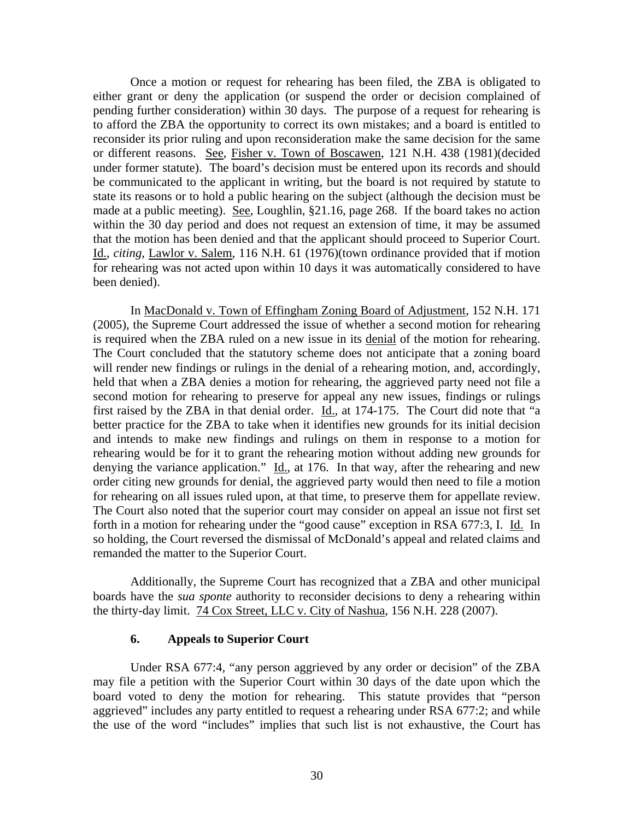Once a motion or request for rehearing has been filed, the ZBA is obligated to either grant or deny the application (or suspend the order or decision complained of pending further consideration) within 30 days. The purpose of a request for rehearing is to afford the ZBA the opportunity to correct its own mistakes; and a board is entitled to reconsider its prior ruling and upon reconsideration make the same decision for the same or different reasons. See, Fisher v. Town of Boscawen, 121 N.H. 438 (1981)(decided under former statute). The board's decision must be entered upon its records and should be communicated to the applicant in writing, but the board is not required by statute to state its reasons or to hold a public hearing on the subject (although the decision must be made at a public meeting). See, Loughlin, §21.16, page 268. If the board takes no action within the 30 day period and does not request an extension of time, it may be assumed that the motion has been denied and that the applicant should proceed to Superior Court. Id., *citing*, Lawlor v. Salem, 116 N.H. 61 (1976)(town ordinance provided that if motion for rehearing was not acted upon within 10 days it was automatically considered to have been denied).

In MacDonald v. Town of Effingham Zoning Board of Adjustment, 152 N.H. 171 (2005), the Supreme Court addressed the issue of whether a second motion for rehearing is required when the ZBA ruled on a new issue in its denial of the motion for rehearing. The Court concluded that the statutory scheme does not anticipate that a zoning board will render new findings or rulings in the denial of a rehearing motion, and, accordingly, held that when a ZBA denies a motion for rehearing, the aggrieved party need not file a second motion for rehearing to preserve for appeal any new issues, findings or rulings first raised by the ZBA in that denial order. Id., at 174-175. The Court did note that "a better practice for the ZBA to take when it identifies new grounds for its initial decision and intends to make new findings and rulings on them in response to a motion for rehearing would be for it to grant the rehearing motion without adding new grounds for denying the variance application." Id., at 176. In that way, after the rehearing and new order citing new grounds for denial, the aggrieved party would then need to file a motion for rehearing on all issues ruled upon, at that time, to preserve them for appellate review. The Court also noted that the superior court may consider on appeal an issue not first set forth in a motion for rehearing under the "good cause" exception in RSA 677:3, I. Id. In so holding, the Court reversed the dismissal of McDonald's appeal and related claims and remanded the matter to the Superior Court.

 Additionally, the Supreme Court has recognized that a ZBA and other municipal boards have the *sua sponte* authority to reconsider decisions to deny a rehearing within the thirty-day limit. 74 Cox Street, LLC v. City of Nashua, 156 N.H. 228 (2007).

### **6. Appeals to Superior Court**

Under RSA 677:4, "any person aggrieved by any order or decision" of the ZBA may file a petition with the Superior Court within 30 days of the date upon which the board voted to deny the motion for rehearing. This statute provides that "person aggrieved" includes any party entitled to request a rehearing under RSA 677:2; and while the use of the word "includes" implies that such list is not exhaustive, the Court has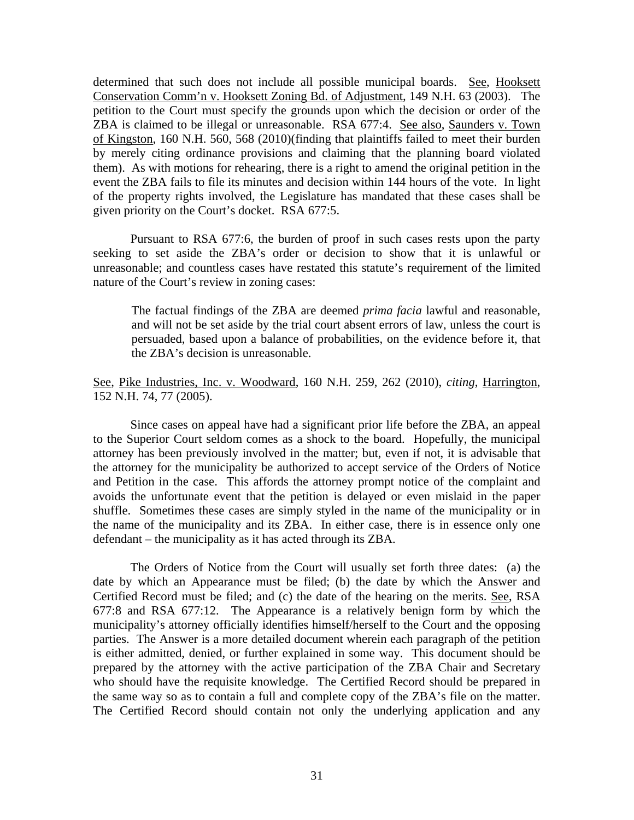determined that such does not include all possible municipal boards. See, Hooksett Conservation Comm'n v. Hooksett Zoning Bd. of Adjustment, 149 N.H. 63 (2003). The petition to the Court must specify the grounds upon which the decision or order of the ZBA is claimed to be illegal or unreasonable. RSA 677:4. See also, Saunders v. Town of Kingston, 160 N.H. 560, 568 (2010)(finding that plaintiffs failed to meet their burden by merely citing ordinance provisions and claiming that the planning board violated them). As with motions for rehearing, there is a right to amend the original petition in the event the ZBA fails to file its minutes and decision within 144 hours of the vote. In light of the property rights involved, the Legislature has mandated that these cases shall be given priority on the Court's docket. RSA 677:5.

Pursuant to RSA 677:6, the burden of proof in such cases rests upon the party seeking to set aside the ZBA's order or decision to show that it is unlawful or unreasonable; and countless cases have restated this statute's requirement of the limited nature of the Court's review in zoning cases:

 The factual findings of the ZBA are deemed *prima facia* lawful and reasonable, and will not be set aside by the trial court absent errors of law, unless the court is persuaded, based upon a balance of probabilities, on the evidence before it, that the ZBA's decision is unreasonable.

See, Pike Industries, Inc. v. Woodward, 160 N.H. 259, 262 (2010), *citing*, Harrington, 152 N.H. 74, 77 (2005).

 Since cases on appeal have had a significant prior life before the ZBA, an appeal to the Superior Court seldom comes as a shock to the board. Hopefully, the municipal attorney has been previously involved in the matter; but, even if not, it is advisable that the attorney for the municipality be authorized to accept service of the Orders of Notice and Petition in the case. This affords the attorney prompt notice of the complaint and avoids the unfortunate event that the petition is delayed or even mislaid in the paper shuffle. Sometimes these cases are simply styled in the name of the municipality or in the name of the municipality and its ZBA. In either case, there is in essence only one defendant – the municipality as it has acted through its ZBA.

 The Orders of Notice from the Court will usually set forth three dates: (a) the date by which an Appearance must be filed; (b) the date by which the Answer and Certified Record must be filed; and (c) the date of the hearing on the merits. See, RSA 677:8 and RSA 677:12. The Appearance is a relatively benign form by which the municipality's attorney officially identifies himself/herself to the Court and the opposing parties. The Answer is a more detailed document wherein each paragraph of the petition is either admitted, denied, or further explained in some way. This document should be prepared by the attorney with the active participation of the ZBA Chair and Secretary who should have the requisite knowledge. The Certified Record should be prepared in the same way so as to contain a full and complete copy of the ZBA's file on the matter. The Certified Record should contain not only the underlying application and any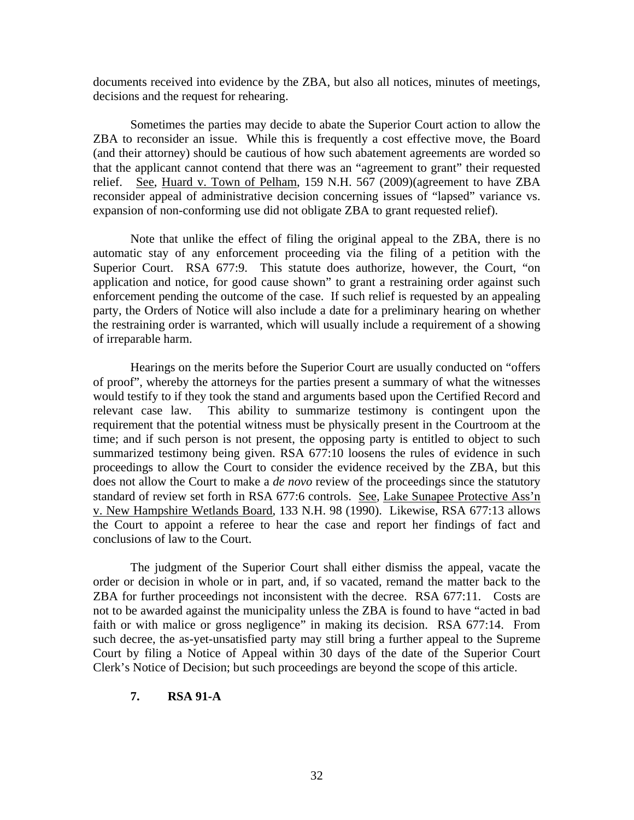documents received into evidence by the ZBA, but also all notices, minutes of meetings, decisions and the request for rehearing.

 Sometimes the parties may decide to abate the Superior Court action to allow the ZBA to reconsider an issue. While this is frequently a cost effective move, the Board (and their attorney) should be cautious of how such abatement agreements are worded so that the applicant cannot contend that there was an "agreement to grant" their requested relief. See, Huard v. Town of Pelham, 159 N.H. 567 (2009)(agreement to have ZBA reconsider appeal of administrative decision concerning issues of "lapsed" variance vs. expansion of non-conforming use did not obligate ZBA to grant requested relief).

 Note that unlike the effect of filing the original appeal to the ZBA, there is no automatic stay of any enforcement proceeding via the filing of a petition with the Superior Court. RSA 677:9. This statute does authorize, however, the Court, "on application and notice, for good cause shown" to grant a restraining order against such enforcement pending the outcome of the case. If such relief is requested by an appealing party, the Orders of Notice will also include a date for a preliminary hearing on whether the restraining order is warranted, which will usually include a requirement of a showing of irreparable harm.

 Hearings on the merits before the Superior Court are usually conducted on "offers of proof", whereby the attorneys for the parties present a summary of what the witnesses would testify to if they took the stand and arguments based upon the Certified Record and relevant case law. This ability to summarize testimony is contingent upon the requirement that the potential witness must be physically present in the Courtroom at the time; and if such person is not present, the opposing party is entitled to object to such summarized testimony being given. RSA 677:10 loosens the rules of evidence in such proceedings to allow the Court to consider the evidence received by the ZBA, but this does not allow the Court to make a *de novo* review of the proceedings since the statutory standard of review set forth in RSA 677:6 controls. See, Lake Sunapee Protective Ass'n v. New Hampshire Wetlands Board, 133 N.H. 98 (1990). Likewise, RSA 677:13 allows the Court to appoint a referee to hear the case and report her findings of fact and conclusions of law to the Court.

The judgment of the Superior Court shall either dismiss the appeal, vacate the order or decision in whole or in part, and, if so vacated, remand the matter back to the ZBA for further proceedings not inconsistent with the decree. RSA 677:11. Costs are not to be awarded against the municipality unless the ZBA is found to have "acted in bad faith or with malice or gross negligence" in making its decision. RSA 677:14. From such decree, the as-yet-unsatisfied party may still bring a further appeal to the Supreme Court by filing a Notice of Appeal within 30 days of the date of the Superior Court Clerk's Notice of Decision; but such proceedings are beyond the scope of this article.

## **7. RSA 91-A**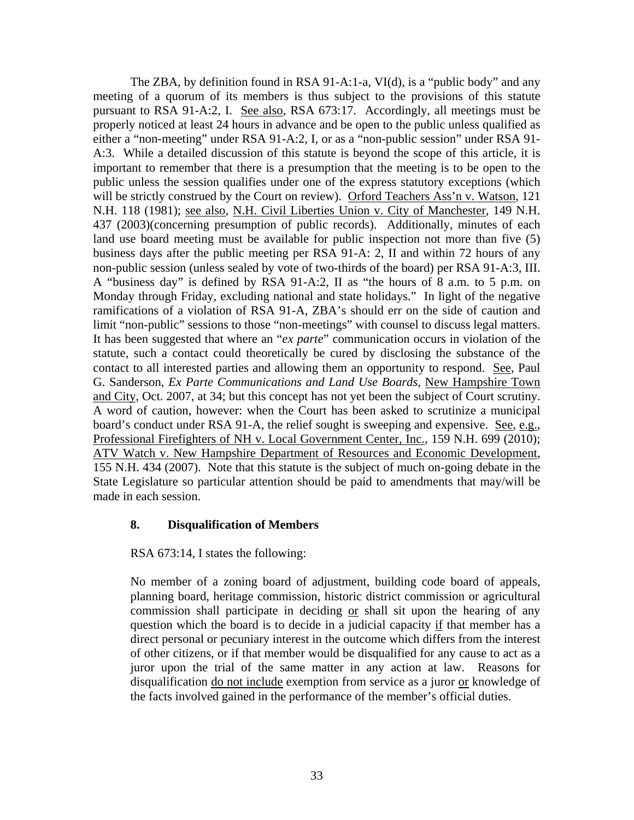The ZBA, by definition found in RSA 91-A:1-a, VI(d), is a "public body" and any meeting of a quorum of its members is thus subject to the provisions of this statute pursuant to RSA 91-A:2, I. See also, RSA 673:17. Accordingly, all meetings must be properly noticed at least 24 hours in advance and be open to the public unless qualified as either a "non-meeting" under RSA 91-A:2, I, or as a "non-public session" under RSA 91- A:3. While a detailed discussion of this statute is beyond the scope of this article, it is important to remember that there is a presumption that the meeting is to be open to the public unless the session qualifies under one of the express statutory exceptions (which will be strictly construed by the Court on review). Orford Teachers Ass'n v. Watson, 121 N.H. 118 (1981); see also, N.H. Civil Liberties Union v. City of Manchester, 149 N.H. 437 (2003)(concerning presumption of public records). Additionally, minutes of each land use board meeting must be available for public inspection not more than five (5) business days after the public meeting per RSA 91-A: 2, II and within 72 hours of any non-public session (unless sealed by vote of two-thirds of the board) per RSA 91-A:3, III. A "business day" is defined by RSA 91-A:2, II as "the hours of 8 a.m. to 5 p.m. on Monday through Friday, excluding national and state holidays." In light of the negative ramifications of a violation of RSA 91-A, ZBA's should err on the side of caution and limit "non-public" sessions to those "non-meetings" with counsel to discuss legal matters. It has been suggested that where an "*ex parte*" communication occurs in violation of the statute, such a contact could theoretically be cured by disclosing the substance of the contact to all interested parties and allowing them an opportunity to respond. See, Paul G. Sanderson, *Ex Parte Communications and Land Use Boards*, New Hampshire Town and City, Oct. 2007, at 34; but this concept has not yet been the subject of Court scrutiny. A word of caution, however: when the Court has been asked to scrutinize a municipal board's conduct under RSA 91-A, the relief sought is sweeping and expensive. See, e.g., Professional Firefighters of NH v. Local Government Center, Inc., 159 N.H. 699 (2010); ATV Watch v. New Hampshire Department of Resources and Economic Development, 155 N.H. 434 (2007). Note that this statute is the subject of much on-going debate in the State Legislature so particular attention should be paid to amendments that may/will be made in each session.

## **8. Disqualification of Members**

RSA 673:14, I states the following:

No member of a zoning board of adjustment, building code board of appeals, planning board, heritage commission, historic district commission or agricultural commission shall participate in deciding or shall sit upon the hearing of any question which the board is to decide in a judicial capacity if that member has a direct personal or pecuniary interest in the outcome which differs from the interest of other citizens, or if that member would be disqualified for any cause to act as a juror upon the trial of the same matter in any action at law. Reasons for disqualification do not include exemption from service as a juror or knowledge of the facts involved gained in the performance of the member's official duties.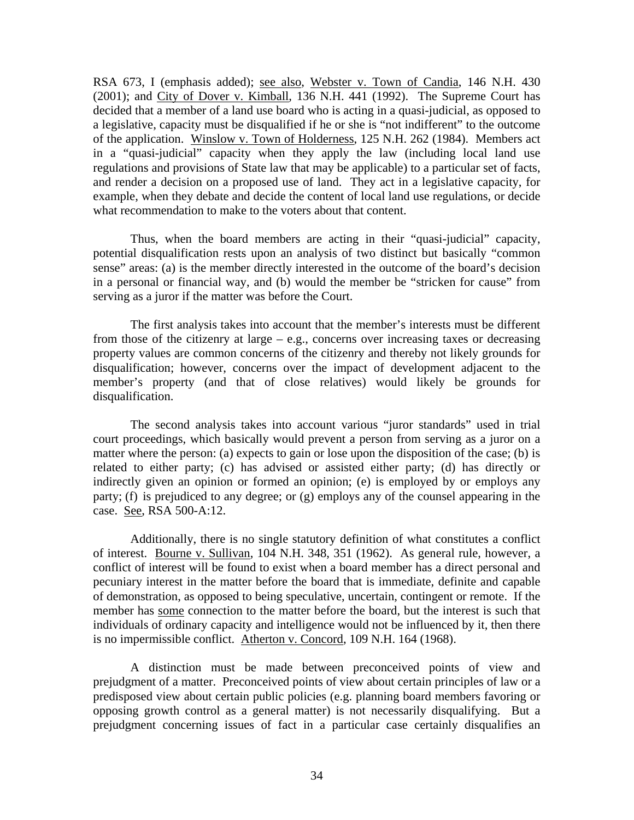RSA 673, I (emphasis added); see also, Webster v. Town of Candia, 146 N.H. 430 (2001); and City of Dover v. Kimball, 136 N.H. 441 (1992). The Supreme Court has decided that a member of a land use board who is acting in a quasi-judicial, as opposed to a legislative, capacity must be disqualified if he or she is "not indifferent" to the outcome of the application. Winslow v. Town of Holderness, 125 N.H. 262 (1984). Members act in a "quasi-judicial" capacity when they apply the law (including local land use regulations and provisions of State law that may be applicable) to a particular set of facts, and render a decision on a proposed use of land. They act in a legislative capacity, for example, when they debate and decide the content of local land use regulations, or decide what recommendation to make to the voters about that content.

Thus, when the board members are acting in their "quasi-judicial" capacity, potential disqualification rests upon an analysis of two distinct but basically "common sense" areas: (a) is the member directly interested in the outcome of the board's decision in a personal or financial way, and (b) would the member be "stricken for cause" from serving as a juror if the matter was before the Court.

The first analysis takes into account that the member's interests must be different from those of the citizenry at large – e.g., concerns over increasing taxes or decreasing property values are common concerns of the citizenry and thereby not likely grounds for disqualification; however, concerns over the impact of development adjacent to the member's property (and that of close relatives) would likely be grounds for disqualification.

 The second analysis takes into account various "juror standards" used in trial court proceedings, which basically would prevent a person from serving as a juror on a matter where the person: (a) expects to gain or lose upon the disposition of the case; (b) is related to either party; (c) has advised or assisted either party; (d) has directly or indirectly given an opinion or formed an opinion; (e) is employed by or employs any party; (f) is prejudiced to any degree; or (g) employs any of the counsel appearing in the case. See, RSA 500-A:12.

 Additionally, there is no single statutory definition of what constitutes a conflict of interest. Bourne v. Sullivan, 104 N.H. 348, 351 (1962). As general rule, however, a conflict of interest will be found to exist when a board member has a direct personal and pecuniary interest in the matter before the board that is immediate, definite and capable of demonstration, as opposed to being speculative, uncertain, contingent or remote. If the member has some connection to the matter before the board, but the interest is such that individuals of ordinary capacity and intelligence would not be influenced by it, then there is no impermissible conflict. Atherton v. Concord, 109 N.H. 164 (1968).

 A distinction must be made between preconceived points of view and prejudgment of a matter. Preconceived points of view about certain principles of law or a predisposed view about certain public policies (e.g. planning board members favoring or opposing growth control as a general matter) is not necessarily disqualifying. But a prejudgment concerning issues of fact in a particular case certainly disqualifies an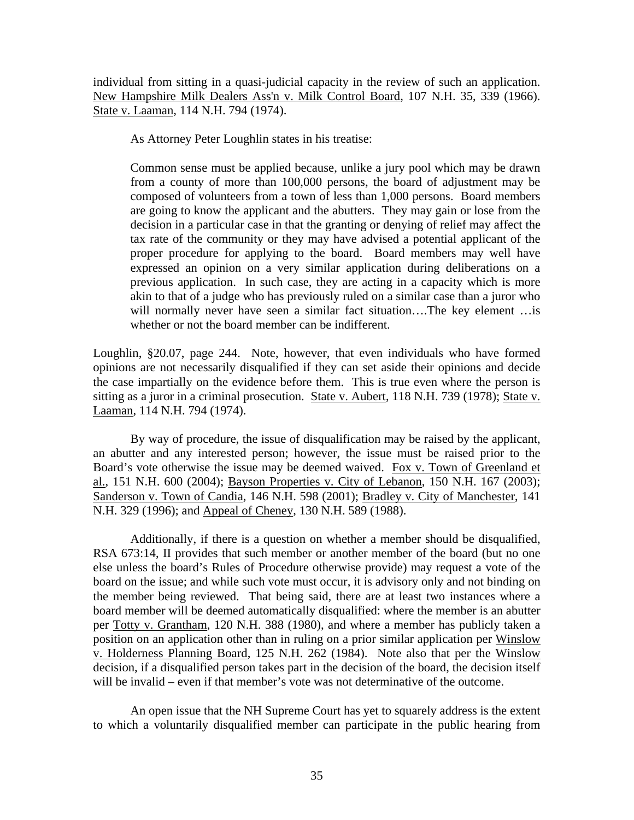individual from sitting in a quasi-judicial capacity in the review of such an application. New Hampshire Milk Dealers Ass'n v. Milk Control Board, 107 N.H. 35, 339 (1966). State v. Laaman, 114 N.H. 794 (1974).

As Attorney Peter Loughlin states in his treatise:

Common sense must be applied because, unlike a jury pool which may be drawn from a county of more than 100,000 persons, the board of adjustment may be composed of volunteers from a town of less than 1,000 persons. Board members are going to know the applicant and the abutters. They may gain or lose from the decision in a particular case in that the granting or denying of relief may affect the tax rate of the community or they may have advised a potential applicant of the proper procedure for applying to the board. Board members may well have expressed an opinion on a very similar application during deliberations on a previous application. In such case, they are acting in a capacity which is more akin to that of a judge who has previously ruled on a similar case than a juror who will normally never have seen a similar fact situation...The key element ... is whether or not the board member can be indifferent.

Loughlin, §20.07, page 244. Note, however, that even individuals who have formed opinions are not necessarily disqualified if they can set aside their opinions and decide the case impartially on the evidence before them. This is true even where the person is sitting as a juror in a criminal prosecution. State v. Aubert, 118 N.H. 739 (1978); State v. Laaman, 114 N.H. 794 (1974).

 By way of procedure, the issue of disqualification may be raised by the applicant, an abutter and any interested person; however, the issue must be raised prior to the Board's vote otherwise the issue may be deemed waived. Fox v. Town of Greenland et al., 151 N.H. 600 (2004); Bayson Properties v. City of Lebanon, 150 N.H. 167 (2003); Sanderson v. Town of Candia, 146 N.H. 598 (2001); Bradley v. City of Manchester, 141 N.H. 329 (1996); and Appeal of Cheney, 130 N.H. 589 (1988).

 Additionally, if there is a question on whether a member should be disqualified, RSA 673:14, II provides that such member or another member of the board (but no one else unless the board's Rules of Procedure otherwise provide) may request a vote of the board on the issue; and while such vote must occur, it is advisory only and not binding on the member being reviewed. That being said, there are at least two instances where a board member will be deemed automatically disqualified: where the member is an abutter per Totty v. Grantham, 120 N.H. 388 (1980), and where a member has publicly taken a position on an application other than in ruling on a prior similar application per Winslow v. Holderness Planning Board, 125 N.H. 262 (1984). Note also that per the Winslow decision, if a disqualified person takes part in the decision of the board, the decision itself will be invalid – even if that member's vote was not determinative of the outcome.

 An open issue that the NH Supreme Court has yet to squarely address is the extent to which a voluntarily disqualified member can participate in the public hearing from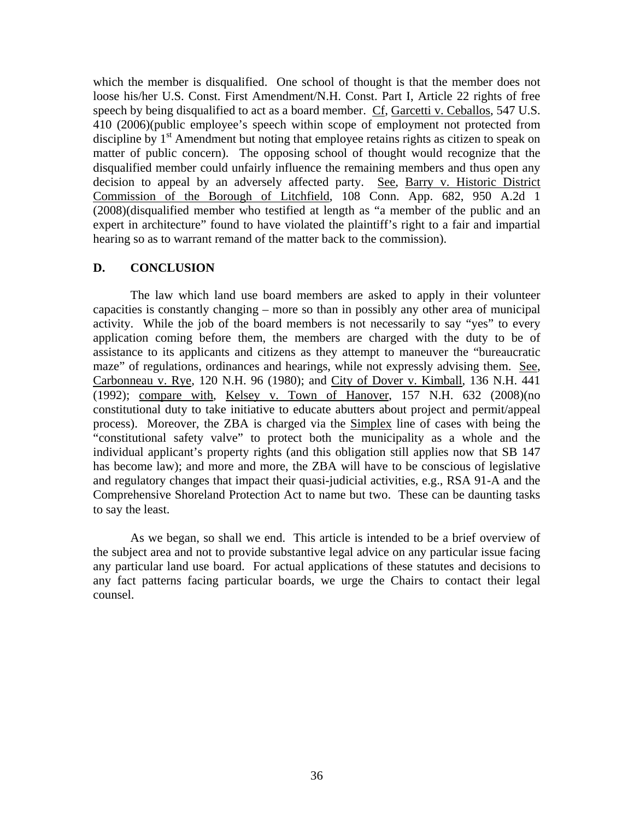which the member is disqualified. One school of thought is that the member does not loose his/her U.S. Const. First Amendment/N.H. Const. Part I, Article 22 rights of free speech by being disqualified to act as a board member. Cf, Garcetti v. Ceballos, 547 U.S. 410 (2006)(public employee's speech within scope of employment not protected from discipline by  $1<sup>st</sup>$  Amendment but noting that employee retains rights as citizen to speak on matter of public concern). The opposing school of thought would recognize that the disqualified member could unfairly influence the remaining members and thus open any decision to appeal by an adversely affected party. See, Barry v. Historic District Commission of the Borough of Litchfield, 108 Conn. App. 682, 950 A.2d 1 (2008)(disqualified member who testified at length as "a member of the public and an expert in architecture" found to have violated the plaintiff's right to a fair and impartial hearing so as to warrant remand of the matter back to the commission).

## **D. CONCLUSION**

The law which land use board members are asked to apply in their volunteer capacities is constantly changing – more so than in possibly any other area of municipal activity. While the job of the board members is not necessarily to say "yes" to every application coming before them, the members are charged with the duty to be of assistance to its applicants and citizens as they attempt to maneuver the "bureaucratic maze" of regulations, ordinances and hearings, while not expressly advising them. See, Carbonneau v. Rye, 120 N.H. 96 (1980); and City of Dover v. Kimball, 136 N.H. 441 (1992); compare with, Kelsey v. Town of Hanover, 157 N.H. 632 (2008)(no constitutional duty to take initiative to educate abutters about project and permit/appeal process). Moreover, the ZBA is charged via the Simplex line of cases with being the "constitutional safety valve" to protect both the municipality as a whole and the individual applicant's property rights (and this obligation still applies now that SB 147 has become law); and more and more, the ZBA will have to be conscious of legislative and regulatory changes that impact their quasi-judicial activities, e.g., RSA 91-A and the Comprehensive Shoreland Protection Act to name but two. These can be daunting tasks to say the least.

As we began, so shall we end. This article is intended to be a brief overview of the subject area and not to provide substantive legal advice on any particular issue facing any particular land use board. For actual applications of these statutes and decisions to any fact patterns facing particular boards, we urge the Chairs to contact their legal counsel.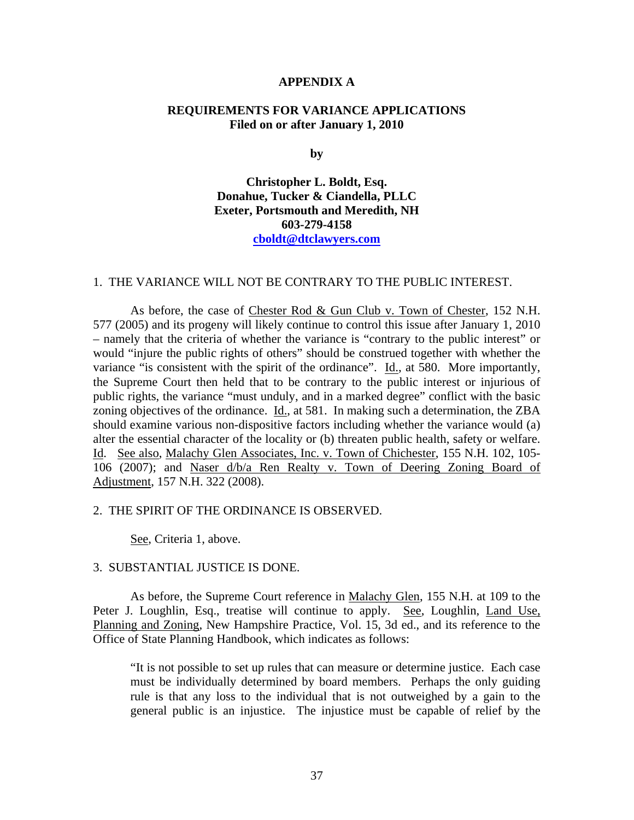#### **APPENDIX A**

### **REQUIREMENTS FOR VARIANCE APPLICATIONS Filed on or after January 1, 2010**

**by** 

**Christopher L. Boldt, Esq. Donahue, Tucker & Ciandella, PLLC Exeter, Portsmouth and Meredith, NH 603-279-4158 cboldt@dtclawyers.com**

#### 1. THE VARIANCE WILL NOT BE CONTRARY TO THE PUBLIC INTEREST.

As before, the case of Chester Rod & Gun Club v. Town of Chester, 152 N.H. 577 (2005) and its progeny will likely continue to control this issue after January 1, 2010 – namely that the criteria of whether the variance is "contrary to the public interest" or would "injure the public rights of others" should be construed together with whether the variance "is consistent with the spirit of the ordinance". Id., at 580. More importantly, the Supreme Court then held that to be contrary to the public interest or injurious of public rights, the variance "must unduly, and in a marked degree" conflict with the basic zoning objectives of the ordinance. Id., at 581. In making such a determination, the ZBA should examine various non-dispositive factors including whether the variance would (a) alter the essential character of the locality or (b) threaten public health, safety or welfare. Id. See also, Malachy Glen Associates, Inc. v. Town of Chichester, 155 N.H. 102, 105- 106 (2007); and Naser d/b/a Ren Realty v. Town of Deering Zoning Board of Adjustment, 157 N.H. 322 (2008).

#### 2. THE SPIRIT OF THE ORDINANCE IS OBSERVED.

See, Criteria 1, above.

#### 3. SUBSTANTIAL JUSTICE IS DONE.

As before, the Supreme Court reference in Malachy Glen, 155 N.H. at 109 to the Peter J. Loughlin, Esq., treatise will continue to apply. See, Loughlin, Land Use, Planning and Zoning, New Hampshire Practice, Vol. 15, 3d ed., and its reference to the Office of State Planning Handbook, which indicates as follows:

"It is not possible to set up rules that can measure or determine justice. Each case must be individually determined by board members. Perhaps the only guiding rule is that any loss to the individual that is not outweighed by a gain to the general public is an injustice. The injustice must be capable of relief by the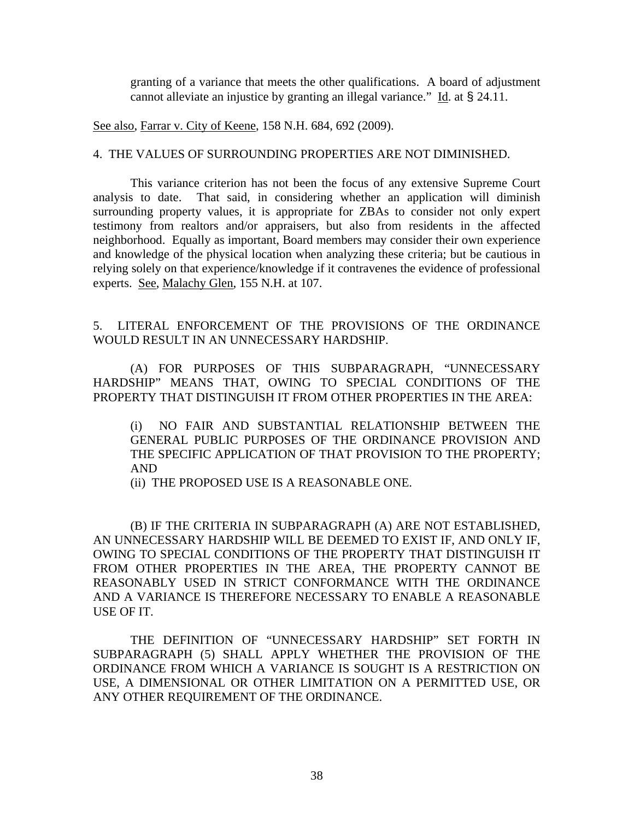granting of a variance that meets the other qualifications. A board of adjustment cannot alleviate an injustice by granting an illegal variance." Id. at § 24.11.

See also, Farrar v. City of Keene, 158 N.H. 684, 692 (2009).

### 4. THE VALUES OF SURROUNDING PROPERTIES ARE NOT DIMINISHED.

This variance criterion has not been the focus of any extensive Supreme Court analysis to date. That said, in considering whether an application will diminish surrounding property values, it is appropriate for ZBAs to consider not only expert testimony from realtors and/or appraisers, but also from residents in the affected neighborhood. Equally as important, Board members may consider their own experience and knowledge of the physical location when analyzing these criteria; but be cautious in relying solely on that experience/knowledge if it contravenes the evidence of professional experts. See, Malachy Glen, 155 N.H. at 107.

## 5. LITERAL ENFORCEMENT OF THE PROVISIONS OF THE ORDINANCE WOULD RESULT IN AN UNNECESSARY HARDSHIP.

(A) FOR PURPOSES OF THIS SUBPARAGRAPH, "UNNECESSARY HARDSHIP" MEANS THAT, OWING TO SPECIAL CONDITIONS OF THE PROPERTY THAT DISTINGUISH IT FROM OTHER PROPERTIES IN THE AREA:

(i) NO FAIR AND SUBSTANTIAL RELATIONSHIP BETWEEN THE GENERAL PUBLIC PURPOSES OF THE ORDINANCE PROVISION AND THE SPECIFIC APPLICATION OF THAT PROVISION TO THE PROPERTY; AND

(ii) THE PROPOSED USE IS A REASONABLE ONE.

(B) IF THE CRITERIA IN SUBPARAGRAPH (A) ARE NOT ESTABLISHED, AN UNNECESSARY HARDSHIP WILL BE DEEMED TO EXIST IF, AND ONLY IF, OWING TO SPECIAL CONDITIONS OF THE PROPERTY THAT DISTINGUISH IT FROM OTHER PROPERTIES IN THE AREA, THE PROPERTY CANNOT BE REASONABLY USED IN STRICT CONFORMANCE WITH THE ORDINANCE AND A VARIANCE IS THEREFORE NECESSARY TO ENABLE A REASONABLE USE OF IT.

THE DEFINITION OF "UNNECESSARY HARDSHIP" SET FORTH IN SUBPARAGRAPH (5) SHALL APPLY WHETHER THE PROVISION OF THE ORDINANCE FROM WHICH A VARIANCE IS SOUGHT IS A RESTRICTION ON USE, A DIMENSIONAL OR OTHER LIMITATION ON A PERMITTED USE, OR ANY OTHER REQUIREMENT OF THE ORDINANCE.